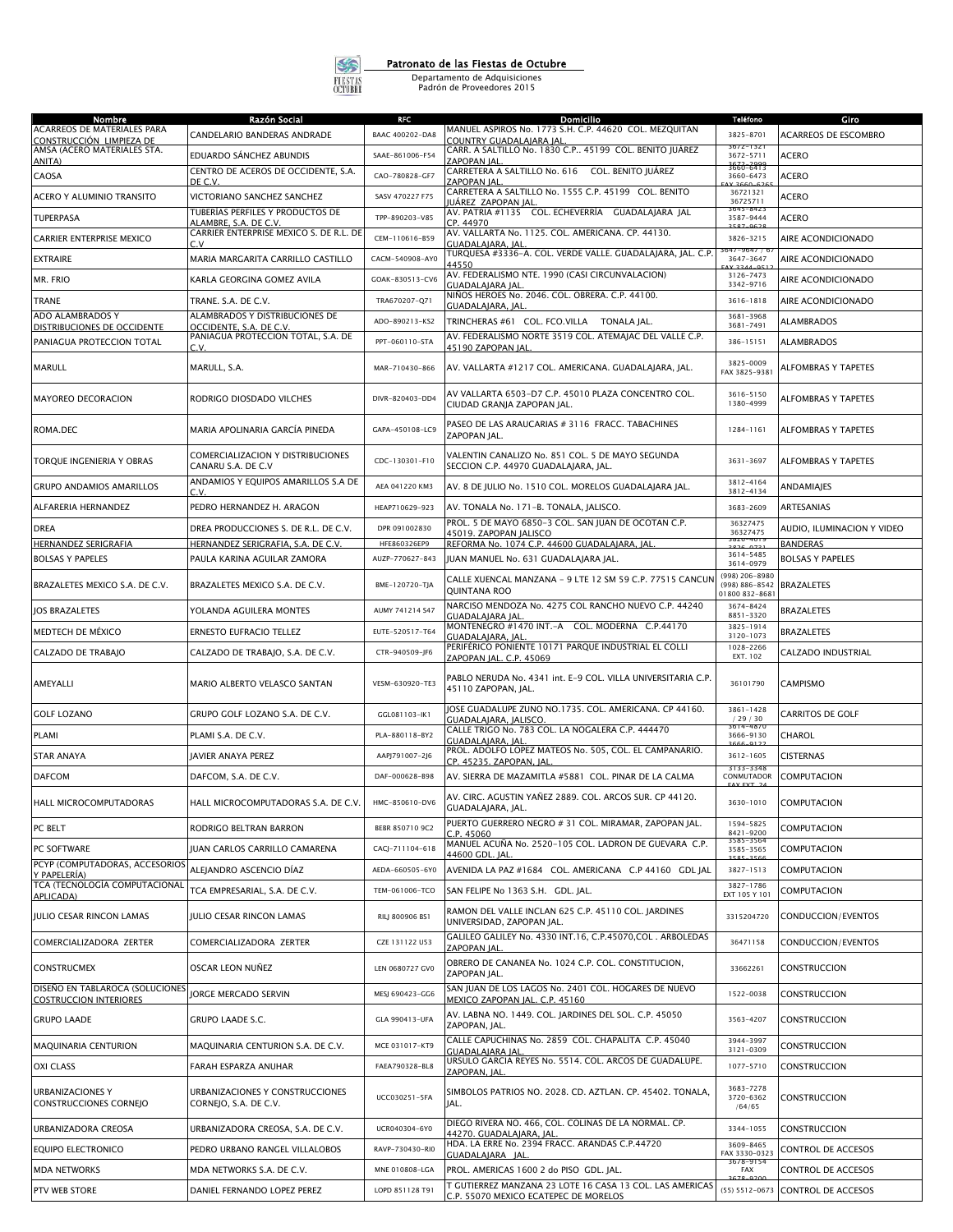

## Patronato de las Fiestas de Octubre

Departamento de Adquisiciones Padrón de Proveedores 2015

| Nombre                                                           | Razón Social                                                      | RFC                             | Domicilio                                                                                         | Teléfono                                      | Giro                                       |
|------------------------------------------------------------------|-------------------------------------------------------------------|---------------------------------|---------------------------------------------------------------------------------------------------|-----------------------------------------------|--------------------------------------------|
| ACARREOS DE MATERIALES PARA<br><u>CONSTRUCCIÓN LIMPIEZA DE</u>   | CANDELARIO BANDERAS ANDRADE                                       | BAAC 400202-DA8                 | MANUEL ASPIROS No. 1773 S.H. C.P. 44620 COL. MEZQUITAN<br>COUNTRY GUADALAJARA JAL                 | 3825-8701                                     | <b>ACARREOS DE ESCOMBRO</b>                |
| AMSA (ACERO MATERIALES STA.<br>ANITA)                            | EDUARDO SÁNCHEZ ABUNDIS                                           | SAAE-861006-F54                 | CARR. A SALTILLO No. 1830 C.P 45199 COL. BENITO JUÁREZ<br>ZAPOPAN IAL                             | $3672 - 1321$<br>3672-5711                    | ACERO                                      |
| CAOSA                                                            | CENTRO DE ACEROS DE OCCIDENTE, S.A.<br>DE C.V.                    | CAO-780828-GF7                  | CARRETERA A SALTILLO No. 616 COL. BENITO JUÁREZ<br>ZAPOPAN IAL                                    | 3666-6419<br>3660-6473                        | <b>ACERO</b>                               |
| ACERO Y ALUMINIO TRANSITO                                        | VICTORIANO SANCHEZ SANCHEZ                                        | SASV 470227 F75                 | CARRETERA A SALTILLO No. 1555 C.P. 45199 COL. BENITO                                              | 36721321<br>36725711                          | <b>ACERO</b>                               |
| <b>TUPERPASA</b>                                                 | TUBERÍAS PERFILES Y PRODUCTOS DE                                  | TPP-890203-V85                  | JUÁRE <u>Z ZAPOPAN JAL</u><br>AV. PATRIA #1135 COL. ECHEVERRÍA GUADALAJARA JAL                    | 3645-8423<br>3587-9444                        | <b>ACERO</b>                               |
| CARRIER ENTERPRISE MEXICO                                        | ALAMBRE, S.A. DE C.V<br>CARRIER ENTERPRISE MEXICO S. DE R.L. DE   | CEM-110616-B59                  | CP. 44970<br>AV. VALLARTA No. 1125. COL. AMERICANA. CP. 44130.                                    | FOZ OCD<br>3826-3215                          | AIRE ACONDICIONADO                         |
| <b>EXTRAIRE</b>                                                  | C.V<br>MARIA MARGARITA CARRILLO CASTILLO                          | CACM-540908-AY0                 | GUADALAJARA, JAL<br>TURQUESA #3336-A. COL. VERDE VALLE. GUADALAJARA, JAL. C.P.                    | 3647-964771<br>3647-3647                      | AIRE ACONDICIONADO                         |
| MR. FRIO                                                         | KARLA GEORGINA GOMEZ AVILA                                        | GOAK-830513-CV6                 | 44550<br>AV. FEDERALISMO NTE. 1990 (CASI CIRCUNVALACION)                                          | 3126-7473                                     | AIRE ACONDICIONADO                         |
| TRANE                                                            | TRANE. S.A. DE C.V.                                               | TRA670207-Q71                   | GUADALAJARA JAL<br>NIÑOS HEROES No. 2046. COL. OBRERA. C.P. 44100.                                | 3342-9716<br>3616-1818                        | AIRE ACONDICIONADO                         |
| ADO ALAMBRADOS Y                                                 | ALAMBRADOS Y DISTRIBUCIONES DE                                    | ADO-890213-KS2                  | GUADALAJARA, JAL<br>TRINCHERAS #61 COL. FCO.VILLA TONALA JAL.                                     | 3681-3968                                     | <b>ALAMBRADOS</b>                          |
| DISTRIBUCIONES DE OCCIDENTE<br>PANIAGUA PROTECCION TOTAL         | OCCIDENTE, S.A. DE C.V.<br>PANIAGUA PROTECCION TOTAL, S.A. DE     | PPT-060110-STA                  | AV. FEDERALISMO NORTE 3519 COL. ATEMAJAC DEL VALLE C.P.                                           | 3681-7491<br>386-15151                        | <b>ALAMBRADOS</b>                          |
|                                                                  | C.V.                                                              |                                 | 45190 ZAPOPAN JAL                                                                                 |                                               |                                            |
| MARULL                                                           | MARULL, S.A.                                                      | MAR-710430-866                  | AV. VALLARTA #1217 COL. AMERICANA. GUADALAJARA, JAL.                                              | 3825-0009<br>FAX 3825-9381                    | ALFOMBRAS Y TAPETES                        |
| <b>MAYOREO DECORACION</b>                                        | RODRIGO DIOSDADO VILCHES                                          | DIVR-820403-DD4                 | AV VALLARTA 6503-D7 C.P. 45010 PLAZA CONCENTRO COL.<br>CIUDAD GRANJA ZAPOPAN JAL.                 | 3616-5150<br>1380-4999                        | ALFOMBRAS Y TAPETES                        |
| ROMA.DEC                                                         | MARIA APOLINARIA GARCÍA PINEDA                                    | GAPA-450108-LC9                 | PASEO DE LAS ARAUCARIAS # 3116 FRACC. TABACHINES<br>ZAPOPAN JAL.                                  | 1284-1161                                     | ALFOMBRAS Y TAPETES                        |
| TORQUE INGENIERIA Y OBRAS                                        | COMERCIALIZACION Y DISTRIBUCIONES<br>CANARU S.A. DE C.V           | CDC-130301-F10                  | VALENTIN CANALIZO No. 851 COL. 5 DE MAYO SEGUNDA<br>SECCION C.P. 44970 GUADALAIARA. IAL.          | 3631-3697                                     | ALFOMBRAS Y TAPETES                        |
| <b>GRUPO ANDAMIOS AMARILLOS</b>                                  | ANDAMIOS Y EQUIPOS AMARILLOS S.A DE<br>cν                         | AEA 041220 KM3                  | AV. 8 DE JULIO No. 1510 COL. MORELOS GUADALAJARA JAL.                                             | 3812-4164<br>3812-4134                        | ANDAMIAJES                                 |
| ALFARERIA HERNANDEZ                                              | PEDRO HERNANDEZ H. ARAGON                                         | HEAP710629-923                  | AV. TONALA No. 171-B. TONALA, JALISCO.                                                            | 3683-2609                                     | <b>ARTESANIAS</b>                          |
| <b>DREA</b>                                                      | DREA PRODUCCIONES S. DE R.L. DE C.V.                              | DPR 091002830                   | PROL. 5 DE MAYO 6850-3 COL. SAN JUAN DE OCOTAN C.P.<br>45019. ZAPOPAN IALISCO                     | 36327475<br>36327475                          | AUDIO, ILUMINACION Y VIDEO                 |
| HERNANDEZ SERIGRAFIA<br><b>BOLSAS Y PAPELES</b>                  | HERNANDEZ SERIGRAFIA, S.A. DE C.V.<br>PAULA KARINA AGUILAR ZAMORA | HFE860326EP9<br>AUZP-770627-843 | REFORMA No. 1074 C.P. 44600 GUADALAJARA, JAL<br>JUAN MANUEL No. 631 GUADALAJARA JAL.              | 3820-4015<br>$0.026 - 0.721$<br>3614-5485     | <b>BANDERAS</b><br><b>BOLSAS Y PAPELES</b> |
| BRAZALETES MEXICO S.A. DE C.V.                                   | BRAZALETES MEXICO S.A. DE C.V.                                    | BME-120720-TJA                  | CALLE XUENCAL MANZANA - 9 LTE 12 SM 59 C.P. 77515 CANCUN<br>QUINTANA ROO                          | 3614-0979<br>(998) 206-8980<br>(998) 886-8542 | <b>BRAZALETES</b>                          |
| <b>JOS BRAZALETES</b>                                            | YOLANDA AGUILERA MONTES                                           | AUMY 741214 S47                 | NARCISO MENDOZA No. 4275 COL RANCHO NUEVO C.P. 44240                                              | 01800 832-8681<br>3674-8424                   | <b>BRAZALETES</b>                          |
| MEDTECH DE MÉXICO                                                | ERNESTO EUFRACIO TELLEZ                                           | EUTE-520517-T64                 | <b>GUADALAIARA IAI</b><br>MONTENEGRO #1470 INT.-A COL. MODERNA C.P.44170                          | 8851-3320<br>3825-1914                        | <b>BRAZALETES</b>                          |
| CALZADO DE TRABAJO                                               | CALZADO DE TRABAJO, S.A. DE C.V.                                  | CTR-940509-JF6                  | <b>GUADALAIARA, IAL</b><br>PERIFÉRICO PONIENTE 10171 PARQUE INDUSTRIAL EL COLLI                   | 3120-1073<br>1028-2266                        | CALZADO INDUSTRIAL                         |
|                                                                  |                                                                   |                                 | ZAPOPAN JAL. C.P. 45069                                                                           | EXT. 102                                      |                                            |
| AMEYALLI                                                         | MARIO ALBERTO VELASCO SANTAN                                      | VESM-630920-TE3                 | PABLO NERUDA No. 4341 int. E-9 COL. VILLA UNIVERSITARIA C.P.<br>45110 ZAPOPAN, JAL.               | 36101790                                      | <b>CAMPISMO</b>                            |
| <b>GOLF LOZANO</b>                                               | GRUPO GOLF LOZANO S.A. DE C.V.                                    | GGL081103-IK1                   | JOSE GUADALUPE ZUNO NO.1735. COL. AMERICANA. CP 44160.<br>GUADALAJARA, JALISCO.                   | $3861 - 1428$<br>/29/30                       | <b>CARRITOS DE GOLF</b>                    |
| PLAMI                                                            | PLAMI S.A. DE C.V.                                                | PLA-880118-BY2                  | CALLE TRIGO No. 783 COL. LA NOGALERA C.P. 444470<br>GUADALAJARA, JAL                              | $3614 - 4870$<br>3666-9130                    | CHAROL                                     |
| <b>STAR ANAYA</b>                                                | JAVIER ANAYA PEREZ                                                | AAPJ791007-2J6                  | PROL. ADOLFO LOPEZ MATEOS No. 505, COL. EL CAMPANARIO.<br>CP. 45235. ZAPOPAN. IAL                 | 3612-1605                                     | <b>CISTERNAS</b>                           |
| <b>DAFCOM</b>                                                    | DAFCOM. S.A. DE C.V.                                              | DAF-000628-B98                  | AV. SIERRA DE MAZAMITLA #5881 COL. PINAR DE LA CALMA                                              | 3133-3348<br>CONMUTADOR                       | COMPUTACION                                |
| HALL MICROCOMPUTADORAS                                           | HALL MICROCOMPUTADORAS S.A. DE C.V.                               | HMC-850610-DV6                  | AV. CIRC. AGUSTIN YAÑEZ 2889. COL. ARCOS SUR. CP 44120.<br>GUADALAJARA, JAL.                      | 3630-1010                                     | COMPUTACION                                |
| PC BELT                                                          | RODRIGO BELTRAN BARRON                                            | BEBR 850710 9C2                 | PUERTO GUERRERO NEGRO # 31 COL. MIRAMAR, ZAPOPAN JAL.<br>C.P. 45060                               | 1594-5825<br>8421-9200                        | COMPUTACION                                |
| PC SOFTWARE                                                      | JUAN CARLOS CARRILLO CAMARENA                                     | CACJ-711104-618                 | MANUEL ACUÑA No. 2520-105 COL. LADRON DE GUEVARA C.P.<br>44600 GDL. JAL.                          | 3585-3564<br>3585-3565                        | COMPUTACION                                |
| PCYP (COMPUTADORAS, ACCESORIOS<br>Y PAPELERÍA)                   | ALEJANDRO ASCENCIO DÍAZ                                           | AEDA-660505-6Y0                 | AVENIDA LA PAZ #1684 COL. AMERICANA C.P 44160 GDL JAL                                             | 3827-1513                                     | COMPUTACION                                |
| TCA (TECNOLOGÍA COMPUTACIONAL<br>APLICADA)                       | TCA EMPRESARIAL, S.A. DE C.V.                                     | TEM-061006-TCO                  | SAN FELIPE No 1363 S.H. GDL. JAL.                                                                 | 3827-1786<br>EXT 105 Y 101                    | COMPUTACION                                |
| JULIO CESAR RINCON LAMAS                                         | JULIO CESAR RINCON LAMAS                                          | RILJ 800906 BS1                 | RAMON DEL VALLE INCLAN 625 C.P. 45110 COL. JARDINES<br>UNIVERSIDAD, ZAPOPAN IAL.                  | 3315204720                                    | CONDUCCION/EVENTOS                         |
| COMERCIALIZADORA ZERTER                                          | COMERCIALIZADORA ZERTER                                           | CZE 131122 U53                  | GALILEO GALILEY No. 4330 INT.16, C.P.45070,COL . ARBOLEDAS<br>ZAPOPAN JAL                         | 36471158                                      | CONDUCCION/EVENTOS                         |
| <b>CONSTRUCMEX</b>                                               | OSCAR LEON NUÑEZ                                                  | LEN 0680727 GV0                 | OBRERO DE CANANEA No. 1024 C.P. COL. CONSTITUCION,<br>ZAPOPAN JAL.                                | 33662261                                      | CONSTRUCCION                               |
| DISEÑO EN TABLAROCA (SOLUCIONES<br><b>COSTRUCCION INTERIORES</b> | <b>IORGE MERCADO SERVIN</b>                                       | MESJ 690423-GG6                 | SAN JUAN DE LOS LAGOS No. 2401 COL. HOGARES DE NUEVO<br>MEXICO ZAPOPAN JAL. C.P. 45160            | 1522-0038                                     | CONSTRUCCION                               |
| <b>GRUPO LAADE</b>                                               | GRUPO LAADE S.C.                                                  | GLA 990413-UFA                  | AV. LABNA NO. 1449. COL. JARDINES DEL SOL. C.P. 45050<br>ZAPOPAN, JAL.                            | 3563-4207                                     | CONSTRUCCION                               |
| MAQUINARIA CENTURION                                             | MAQUINARIA CENTURION S.A. DE C.V.                                 | MCE 031017-KT9                  | CALLE CAPUCHINAS No. 2859 COL. CHAPALITA C.P. 45040<br>GUADALAJARA JAI                            | 3944-3997<br>3121-0309                        | CONSTRUCCION                               |
| <b>OXI CLASS</b>                                                 | FARAH ESPARZA ANUHAR                                              | FAEA790328-BL8                  | URSULO GARCIA REYES No. 5514. COL. ARCOS DE GUADALUPE.<br>ZAPOPAN, JAL                            | 1077-5710                                     | CONSTRUCCION                               |
| <b>URBANIZACIONES Y</b><br><b>CONSTRUCCIONES CORNEJO</b>         | URBANIZACIONES Y CONSTRUCCIONES<br>CORNEJO, S.A. DE C.V.          | UCC030251-5FA                   | SIMBOLOS PATRIOS NO. 2028. CD. AZTLAN. CP. 45402. TONALA,<br>JAL.                                 | 3683-7278<br>3720-6362<br>/64/65              | CONSTRUCCION                               |
| URBANIZADORA CREOSA                                              | URBANIZADORA CREOSA, S.A. DE C.V.                                 | UCR040304-6Y0                   | DIEGO RIVERA NO. 466, COL. COLINAS DE LA NORMAL. CP.<br>44270. GUADALAJARA, JAL                   | 3344-1055                                     | CONSTRUCCION                               |
| <b>EQUIPO ELECTRONICO</b>                                        | PEDRO URBANO RANGEL VILLALOBOS                                    | RAVP-730430-RIO                 | HDA. LA ERRE No. 2394 FRACC. ARANDAS C.P.44720<br>GUADALAIARA IAL                                 | 3609-8465<br>FAX 3330-0323                    | CONTROL DE ACCESOS                         |
| <b>MDA NETWORKS</b>                                              | MDA NETWORKS S.A. DE C.V.                                         | MNE 010808-LGA                  | PROL. AMERICAS 1600 2 do PISO GDL. JAL.                                                           | 3678-915<br>FAX                               | CONTROL DE ACCESOS                         |
| PTV WEB STORE                                                    | DANIEL FERNANDO LOPEZ PEREZ                                       | LOPD 851128 T91                 | T GUTIERREZ MANZANA 23 LOTE 16 CASA 13 COL. LAS AMERICAS<br>C.P. 55070 MEXICO ECATEPEC DE MORELOS | $(55) 5512 - 0673$                            | <b>CONTROL DE ACCESOS</b>                  |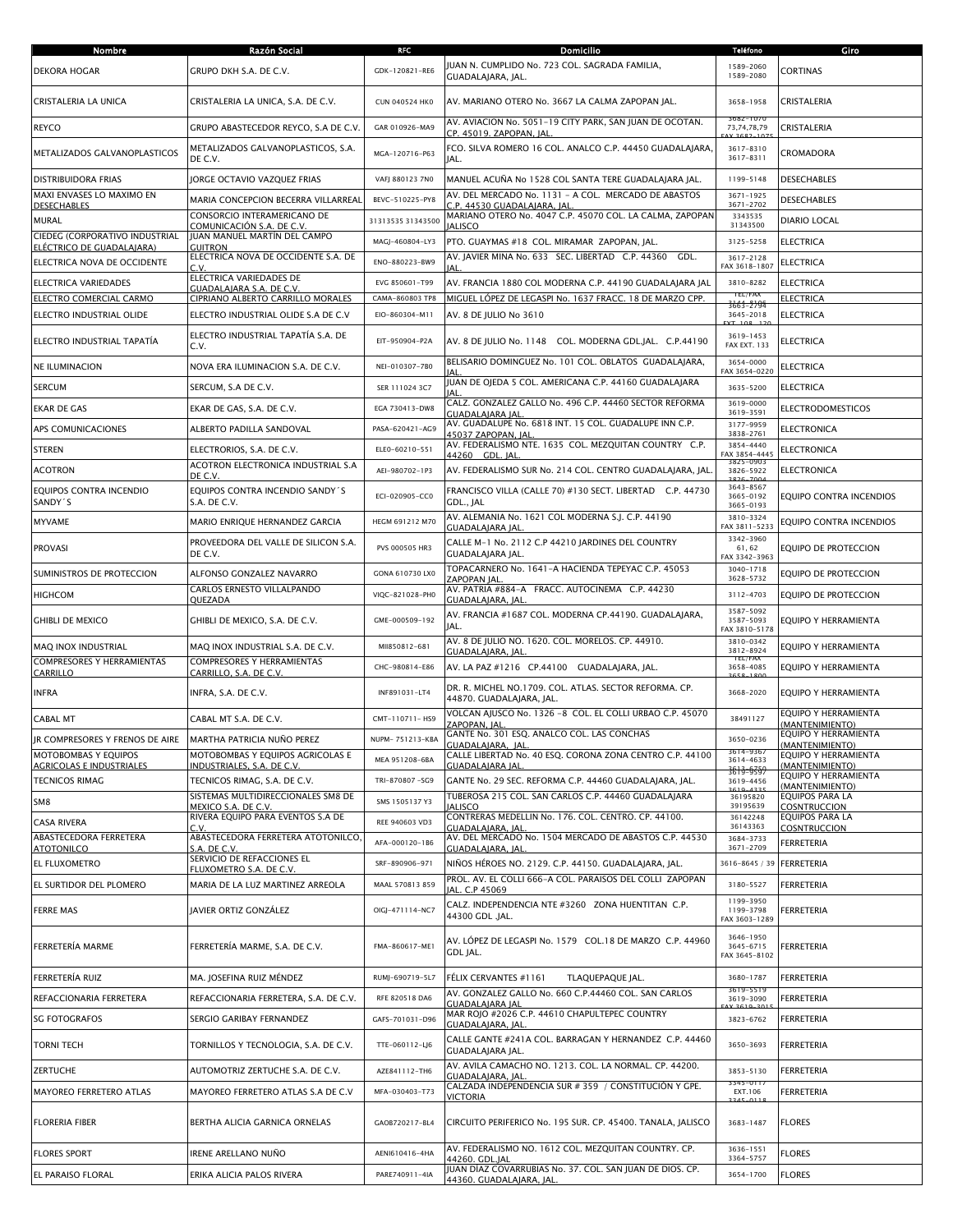| Nombre                                                  | Razón Social                                                             | RFC                                | Domicilio                                                                                                                   | <b>Teléfono</b>                         | Giro                                    |
|---------------------------------------------------------|--------------------------------------------------------------------------|------------------------------------|-----------------------------------------------------------------------------------------------------------------------------|-----------------------------------------|-----------------------------------------|
| <b>DEKORA HOGAR</b>                                     | GRUPO DKH S.A. DE C.V.                                                   | GDK-120821-RE6                     | JUAN N. CUMPLIDO No. 723 COL. SAGRADA FAMILIA,<br>GUADALAJARA, JAL.                                                         | 1589-2060<br>1589-2080                  | <b>CORTINAS</b>                         |
| CRISTALERIA LA UNICA                                    | CRISTALERIA LA UNICA, S.A. DE C.V.                                       | <b>CUN 040524 HKO</b>              | AV. MARIANO OTERO No. 3667 LA CALMA ZAPOPAN JAL.                                                                            | 3658-1958                               | CRISTALERIA                             |
| <b>REYCO</b>                                            | GRUPO ABASTECEDOR REYCO, S.A DE C.V.                                     | GAR 010926-MA9                     | AV. AVIACION No. 5051-19 CITY PARK, SAN JUAN DE OCOTAN.<br>CP. 45019. ZAPOPAN, JAL                                          | 3682-1071<br>73,74,78,79                | CRISTALERIA                             |
| METALIZADOS GALVANOPLASTICOS                            | METALIZADOS GALVANOPLASTICOS, S.A.<br>DE C.V.                            | MGA-120716-P63                     | FCO. SILVA ROMERO 16 COL. ANALCO C.P. 44450 GUADALAJARA,<br>JAL.                                                            | 3617-8310<br>3617-8311                  | CROMADORA                               |
| <b>DISTRIBUIDORA FRIAS</b>                              | JORGE OCTAVIO VAZQUEZ FRIAS                                              | VAFJ 880123 7N0                    | MANUEL ACUÑA No 1528 COL SANTA TERE GUADALAJARA JAL.                                                                        | 1199-5148                               | <b>DESECHABLES</b>                      |
| MAXI ENVASES LO MAXIMO EN<br><b>DESECHABLES</b>         | MARIA CONCEPCION BECERRA VILLARREAL                                      | BEVC-510225-PY8                    | AV. DEL MERCADO No. 1131 - A COL. MERCADO DE ABASTOS<br>C.P. 44530 GUADALAJARA, JAL                                         | $3671 - 1925$<br>3671-2702              | <b>DESECHABLES</b>                      |
| <b>MURAL</b>                                            | CONSORCIO INTERAMERICANO DE                                              | 31313535 31343500                  | MARIANO OTERO No. 4047 C.P. 45070 COL. LA CALMA, ZAPOPAN                                                                    | 3343535                                 | DIARIO LOCAL                            |
| CIEDEG (CORPORATIVO INDUSTRIAL                          | COMUNICACIÓN S.A. DE C.V.<br>JUAN MANUEL MARTÍN DEL CAMPO                |                                    | <b>IALISCO</b>                                                                                                              | 31343500                                |                                         |
| ELÉCTRICO DE GUADALAJARA)                               | <b>GUITRON</b><br>ELECTRICA NOVA DE OCCIDENTE S.A. DE                    | MAGJ-460804-LY3                    | PTO. GUAYMAS #18 COL. MIRAMAR ZAPOPAN, JAL.<br>AV. JAVIER MINA No. 633 SEC. LIBERTAD C.P. 44360<br>GDL.                     | 3125-5258<br>3617-2128                  | <b>ELECTRICA</b>                        |
| ELECTRICA NOVA DE OCCIDENTE                             | CV<br>ELECTRICA VARIEDADES DE                                            | ENO-880223-BW9                     |                                                                                                                             | FAX 3618-1807                           | <b>ELECTRICA</b>                        |
| <b>ELECTRICA VARIEDADES</b>                             | GUADALAIARA S.A. DE C.V                                                  | EVG 850601-T99                     | AV. FRANCIA 1880 COL MODERNA C.P. 44190 GUADALAJARA JAL                                                                     | 3810-8282<br>TEL/FA)                    | <b>ELECTRICA</b>                        |
| ELECTRO COMERCIAL CARMO<br>ELECTRO INDUSTRIAL OLIDE     | CIPRIANO ALBERTO CARRILLO MORALES<br>ELECTRO INDUSTRIAL OLIDE S.A DE C.V | CAMA-860803 TP8<br>EIO-860304-M11  | MIGUEL LÓPEZ DE LEGASPI No. 1637 FRACC. 18 DE MARZO CPP.<br>AV. 8 DE JULIO No 3610                                          | 3663-279<br>3645-2018                   | <b>ELECTRICA</b><br><b>ELECTRICA</b>    |
|                                                         |                                                                          |                                    |                                                                                                                             | $(T - 108 - 1$                          |                                         |
| ELECTRO INDUSTRIAL TAPATÍA                              | ELECTRO INDUSTRIAL TAPATÍA S.A. DE<br>C.V.                               | EIT-950904-P2A                     | AV. 8 DE JULIO No. 1148 COL. MODERNA GDL.JAL. C.P.44190<br>BELISARIO DOMINGUEZ No. 101 COL. OBLATOS GUADALAJARA,            | 3619-1453<br><b>FAX EXT. 133</b>        | <b>ELECTRICA</b>                        |
| <b>NE ILUMINACION</b>                                   | NOVA ERA ILUMINACION S.A. DE C.V.                                        | NEI-010307-7B0                     |                                                                                                                             | 3654-0000<br>FAX 3654-0220              | <b>ELECTRICA</b>                        |
| <b>SERCUM</b>                                           | SERCUM, S.A DE C.V.                                                      | SER 111024 3C7                     | JUAN DE OJEDA 5 COL. AMERICANA C.P. 44160 GUADALAJARA<br>۱ΔΙ                                                                | 3635-5200                               | <b>ELECTRICA</b>                        |
| <b>EKAR DE GAS</b>                                      | EKAR DE GAS, S.A. DE C.V.                                                | EGA 730413-DW8                     | CALZ. GONZALEZ GALLO No. 496 C.P. 44460 SECTOR REFORMA<br>GUADALAIARA IAL                                                   | 3619-0000<br>3619-3591                  | <b>ELECTRODOMESTICOS</b>                |
| APS COMUNICACIONES                                      | ALBERTO PADILLA SANDOVAL                                                 | PASA-620421-AG9                    | AV. GUADALUPE No. 6818 INT. 15 COL. GUADALUPE INN C.P.<br>45037 ZAPOPAN, IAI                                                | 3177-9959<br>3838-2761                  | <b>ELECTRONICA</b>                      |
| <b>STEREN</b>                                           | ELECTRORIOS, S.A. DE C.V.                                                | ELEO-60210-551                     | AV. FEDERALISMO NTE. 1635 COL. MEZQUITAN COUNTRY C.P.                                                                       | 3854-4440                               | <b>ELECTRONICA</b>                      |
| <b>ACOTRON</b>                                          | ACOTRON ELECTRONICA INDUSTRIAL S.A                                       | AEI-980702-1P3                     | 44260 GDL. JAL<br>AV. FEDERALISMO SUR No. 214 COL. CENTRO GUADALAJARA, JAL                                                  | FAX 3854-4445<br>3825-0903<br>3826-5922 | <b>ELECTRONICA</b>                      |
| EOUIPOS CONTRA INCENDIO                                 | DE C.V.<br>EOUIPOS CONTRA INCENDIO SANDY'S                               | ECI-020905-CC0                     | FRANCISCO VILLA (CALLE 70) #130 SECT. LIBERTAD C.P. 44730                                                                   | 3643-8567<br>3665-0192                  | EQUIPO CONTRA INCENDIOS                 |
| SANDY'S                                                 | S.A. DE C.V.                                                             |                                    | GDL., JAL<br>AV. ALEMANIA No. 1621 COL MODERNA S.J. C.P. 44190                                                              | 3665-0193<br>3810-3324                  |                                         |
| <b>MYVAME</b>                                           | MARIO ENRIQUE HERNANDEZ GARCIA                                           | HEGM 691212 M70                    | GUADALAIARA IAI                                                                                                             | FAX 3811-5233<br>3342-3960              | EQUIPO CONTRA INCENDIOS                 |
| <b>PROVASI</b>                                          | PROVEEDORA DEL VALLE DE SILICON S.A.<br>DE C.V.                          | PVS 000505 HR3                     | CALLE M-1 No. 2112 C.P 44210 JARDINES DEL COUNTRY<br>GUADALAJARA JAL.<br>TOPACARNERO No. 1641-A HACIENDA TEPEYAC C.P. 45053 | 61,62<br>FAX 3342-3963                  | EQUIPO DE PROTECCION                    |
| SUMINISTROS DE PROTECCION                               | ALFONSO GONZALEZ NAVARRO                                                 | GONA 610730 LX0                    | ZAPOPAN IAL                                                                                                                 | 3040-1718<br>3628-5732                  | EQUIPO DE PROTECCION                    |
| <b>HIGHCOM</b>                                          | CARLOS ERNESTO VILLALPANDO<br>QUEZADA                                    | VIQC-821028-PH0                    | AV. PATRIA #884-A FRACC. AUTOCINEMA C.P. 44230<br>GUADALAJARA, JAL                                                          | 3112-4703                               | EQUIPO DE PROTECCION                    |
| <b>GHIBLI DE MEXICO</b>                                 | GHIBLI DE MEXICO, S.A. DE C.V.                                           | GME-000509-192                     | AV. FRANCIA #1687 COL. MODERNA CP.44190. GUADALAJARA,<br>JAL.                                                               | 3587-5092<br>3587-5093<br>FAX 3810-5178 | EQUIPO Y HERRAMIENTA                    |
| MAQ INOX INDUSTRIAL                                     | MAQ INOX INDUSTRIAL S.A. DE C.V.                                         | MII850812-681                      | AV. 8 DE JULIO NO. 1620. COL. MORELOS. CP. 44910.<br>GUADALAIARA. IAL                                                       | 3810-0342<br>3812-8924                  | EQUIPO Y HERRAMIENTA                    |
| <b>COMPRESORES Y HERRAMIENTAS</b>                       | <b>COMPRESORES Y HERRAMIENTAS</b>                                        | CHC-980814-E86                     | AV. LA PAZ #1216 CP.44100 GUADALAJARA, JAL.                                                                                 | TEL/FAX<br>3658-4085                    | EQUIPO Y HERRAMIENTA                    |
| CARRILLO<br><b>INFRA</b>                                | CARRILLO, S.A. DE C.V.<br>INFRA, S.A. DE C.V.                            | INF891031-LT4                      | DR. R. MICHEL NO.1709. COL. ATLAS. SECTOR REFORMA. CP.<br>44870. GUADALAJARA, JAL.                                          | 3668-2020                               | EQUIPO Y HERRAMIENTA                    |
| <b>CABAL MT</b>                                         | CABAL MT S.A. DE C.V.                                                    | CMT-110711-HS9                     | VOLCAN AJUSCO No. 1326 -8 COL. EL COLLI URBAO C.P. 45070                                                                    | 38491127                                | EQUIPO Y HERRAMIENTA                    |
|                                                         |                                                                          |                                    | ZAPOPAN, IAL<br>GANTE No. 301 ESQ. ANALCO COL. LAS CONCHAS                                                                  |                                         | (MANTENIMIENTO)<br>EQUIPO Y HERRAMIENTA |
| JR COMPRESORES Y FRENOS DE AIRE<br>MOTOBOMBAS Y EQUIPOS | MARTHA PATRICIA NUÑO PEREZ<br>MOTOBOMBAS Y EQUIPOS AGRICOLAS E           | NUPM-751213-KBA                    | UADALAJARA, JAL.<br>CALLE LIBERTAD No. 40 ESQ. CORONA ZONA CENTRO C.P. 44100                                                | 3650-0236<br>3614-9367                  | MANTENIMIENTO)<br>EQUIPO Y HERRAMIENTA  |
| <b>AGRICOLAS E INDUSTRIALES</b>                         | INDUSTRIALES, S.A. DE C.V.                                               | MEA 951208-6BA                     | <b>GUADALAJARA JAL</b>                                                                                                      | 3614-4633<br><del>3613-5359</del>       | (MANTENIMIENTO)                         |
| <b>TECNICOS RIMAG</b>                                   | TECNICOS RIMAG, S.A. DE C.V.                                             | TRI-870807-SG9                     | GANTE No. 29 SEC. REFORMA C.P. 44460 GUADALAJARA, JAL.                                                                      | 3619-4456                               | EQUIPO Y HERRAMIENTA<br>(MANTENIMIENTO) |
| SM8                                                     | SISTEMAS MULTIDIRECCIONALES SM8 DE<br>MEXICO S.A. DE C.V.                | SMS 1505137 Y3                     | TUBEROSA 215 COL. SAN CARLOS C.P. 44460 GUADALAJARA<br><b>IALISCO</b>                                                       | 36195820<br>39195639                    | EQUIPOS PARA LA<br><b>COSNTRUCCION</b>  |
| <b>CASA RIVERA</b>                                      | RIVERA EQUIPO PARA EVENTOS S.A DE<br>C.V                                 | REE 940603 VD3                     | CONTRERAS MEDELLIN No. 176. COL. CENTRO. CP. 44100.<br>GUADALAJARA, JAL                                                     | 36142248<br>36143363                    | EQUIPOS PARA LA<br><b>COSNTRUCCION</b>  |
| ABASTECEDORA FERRETERA                                  | ABASTECEDORA FERRETERA ATOTONILCO.                                       | AFA-000120-1B6                     | AV. DEL MERCADO No. 1504 MERCADO DE ABASTOS C.P. 44530                                                                      | 3684-3733                               | <b>FERRETERIA</b>                       |
| <b>ATOTONILCO</b><br>EL FLUXOMETRO                      | S.A. DE C.V.<br>SERVICIO DE REFACCIONES EL                               | SRF-890906-971                     | GUADALAJARA, JAL<br>NIÑOS HÉROES NO. 2129. C.P. 44150. GUADALAJARA, JAL.                                                    | 3671-2709<br>3616-8645 / 39             | <b>FERRETERIA</b>                       |
|                                                         | FLUXOMETRO S.A. DE C.V.                                                  |                                    | PROL. AV. EL COLLI 666-A COL. PARAISOS DEL COLLI ZAPOPAN                                                                    |                                         |                                         |
| EL SURTIDOR DEL PLOMERO<br><b>FERRE MAS</b>             | MARIA DE LA LUZ MARTINEZ ARREOLA<br><b>IAVIER ORTIZ GONZÁLEZ</b>         | MAAL 570813 859<br>OIGJ-471114-NC7 | JAL. C.P 45069<br>CALZ. INDEPENDENCIA NTE #3260 ZONA HUENTITAN C.P.                                                         | 3180-5527<br>1199-3950<br>1199-3798     | <b>FERRETERIA</b><br>FERRETERIA         |
|                                                         |                                                                          |                                    | 44300 GDL .JAL.                                                                                                             | FAX 3603-1289<br>3646-1950              |                                         |
| FERRETERÍA MARME                                        | FERRETERÍA MARME, S.A. DE C.V.                                           | FMA-860617-ME1                     | AV. LÓPEZ DE LEGASPI No. 1579 COL.18 DE MARZO C.P. 44960<br>GDL JAL.                                                        | 3645-6715<br>FAX 3645-8102              | FERRETERIA                              |
| FERRETERÍA RUIZ                                         | MA. JOSEFINA RUIZ MÉNDEZ                                                 | RUMJ-690719-5L7                    | FÉLIX CERVANTES #1161<br>TLAQUEPAQUE JAL.                                                                                   | 3680-1787                               | <b>FERRETERIA</b>                       |
| REFACCIONARIA FERRETERA                                 | REFACCIONARIA FERRETERA, S.A. DE C.V.                                    | RFE 820518 DA6                     | AV. GONZALEZ GALLO No. 660 C.P.44460 COL. SAN CARLOS<br>GUADALAIARA IAL                                                     | 3619-551<br>3619-3090                   | FERRETERIA                              |
| <b>SG FOTOGRAFOS</b>                                    | SERGIO GARIBAY FERNANDEZ                                                 | GAFS-701031-D96                    | MAR ROJO #2026 C.P. 44610 CHAPULTEPEC COUNTRY                                                                               | 3823-6762                               | FERRETERIA                              |
| <b>TORNI TECH</b>                                       | TORNILLOS Y TECNOLOGIA, S.A. DE C.V.                                     | TTE-060112-LJ6                     | <u>GUADALAIARA. IAL</u><br>CALLE GANTE #241A COL. BARRAGAN Y HERNANDEZ C.P. 44460<br>GUADALAJARA JAL.                       | 3650-3693                               | FERRETERIA                              |
|                                                         |                                                                          | AZE841112-TH6                      | AV. AVILA CAMACHO NO. 1213. COL. LA NORMAL. CP. 44200.                                                                      |                                         |                                         |
| <b>ZERTUCHE</b>                                         | AUTOMOTRIZ ZERTUCHE S.A. DE C.V.                                         |                                    | GUADALAJARA, JAL<br>CALZADA INDEPENDENCIA SUR # 359 / CONSTITUCIÓN Y GPE.                                                   | 3853-5130<br>3345-0117                  | <b>FERRETERIA</b>                       |
| MAYOREO FERRETERO ATLAS                                 | MAYOREO FERRETERO ATLAS S.A DE C.V                                       | MFA-030403-T73                     | <b>VICTORIA</b>                                                                                                             | EXT.106                                 | FERRETERIA                              |
| <b>FLORERIA FIBER</b>                                   | BERTHA ALICIA GARNICA ORNELAS                                            | GAOB720217-BL4                     | CIRCUITO PERIFERICO No. 195 SUR. CP. 45400. TANALA, JALISCO                                                                 | 3683-1487                               | <b>FLORES</b>                           |
| <b>FLORES SPORT</b>                                     | IRENE ARELLANO NUÑO                                                      | AENI610416-4HA                     | AV. FEDERALISMO NO. 1612 COL. MEZQUITAN COUNTRY. CP.<br>44260, GDL.IAL                                                      | 3636-1551<br>3364-5757                  | <b>FLORES</b>                           |
| EL PARAISO FLORAL                                       | ERIKA ALICIA PALOS RIVERA                                                | PARE740911-4IA                     | JUAN DÍAZ COVARRUBIAS No. 37. COL. SAN JUAN DE DIOS. CP.<br>44360. GUADALAJARA, JAL                                         | 3654-1700                               | <b>FLORES</b>                           |
|                                                         |                                                                          |                                    |                                                                                                                             |                                         |                                         |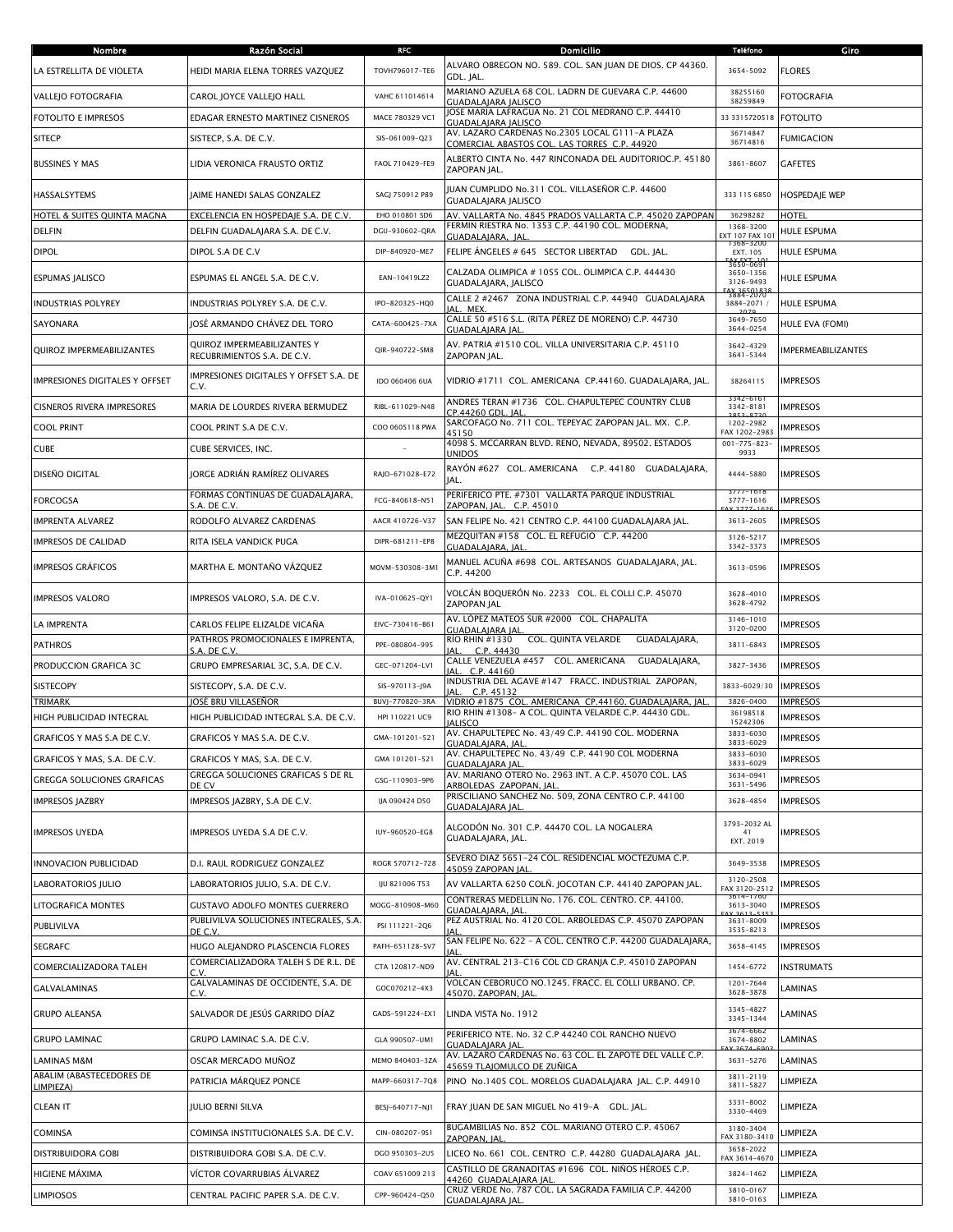| Nombre                                | Razón Social                                               | <b>RFC</b>      | <b>Domicilio</b>                                                                                                             | <b>Teléfono</b>                        | Giro                      |
|---------------------------------------|------------------------------------------------------------|-----------------|------------------------------------------------------------------------------------------------------------------------------|----------------------------------------|---------------------------|
| LA ESTRELLITA DE VIOLETA              | HEIDI MARIA ELENA TORRES VAZQUEZ                           | TOVH796017-TE6  | ALVARO OBREGON NO. 589. COL. SAN JUAN DE DIOS. CP 44360.<br>GDL. JAL.                                                        | 3654-5092                              | <b>FLORES</b>             |
| <b>VALLEJO FOTOGRAFIA</b>             | CAROL JOYCE VALLEJO HALL                                   | VAHC 611014614  | MARIANO AZUELA 68 COL. LADRN DE GUEVARA C.P. 44600<br>GUADALAJARA JALISCO                                                    | 38255160<br>38259849                   | <b>FOTOGRAFIA</b>         |
| <b>FOTOLITO E IMPRESOS</b>            | EDAGAR ERNESTO MARTINEZ CISNEROS                           | MACE 780329 VC1 | JOSE MARIA LAFRAGUA No. 21 COL MEDRANO C.P. 44410                                                                            | 33 331 57 20518                        | <b>FOTOLITO</b>           |
| <b>SITECP</b>                         | SISTECP, S.A. DE C.V.                                      | SIS-061009-Q23  | <b>GUADALAJARA JALISCO</b><br>AV. LAZARO CARDENAS No.2305 LOCAL G111-A PLAZA<br>COMERCIAL ABASTOS COL. LAS TORRES C.P. 44920 | 36714847<br>36714816                   | <b>FUMIGACION</b>         |
| <b>BUSSINES Y MAS</b>                 | LIDIA VERONICA FRAUSTO ORTIZ                               | FAOL 710429-FE9 | ALBERTO CINTA No. 447 RINCONADA DEL AUDITORIOC.P. 45180<br>ZAPOPAN JAL.                                                      | 3861-8607                              | <b>GAFETES</b>            |
| HASSALSYTEMS                          | JAIME HANEDI SALAS GONZALEZ                                | SAGJ 750912 P89 | JUAN CUMPLIDO No.311 COL. VILLASEÑOR C.P. 44600<br><b>GUADALAJARA JALISCO</b>                                                | 333 115 6850                           | <b>HOSPEDAJE WEP</b>      |
| HOTEL & SUITES QUINTA MAGNA           | EXCELENCIA EN HOSPEDAIE S.A. DE C.V.                       | EHO 010801 SD6  | AV. VALLARTA No. 4845 PRADOS VALLARTA C.P. 45020 ZAPOPAN                                                                     | 36298282                               | <b>HOTEL</b>              |
| <b>DELFIN</b>                         | DELFIN GUADALAJARA S.A. DE C.V.                            | DGU-930602-QRA  | FERMIN RIESTRA No. 1353 C.P. 44190 COL. MODERNA,<br>GUADALAIARA. IAL                                                         | 1368-3200<br>EXT 107 FAX 10<br>368-320 | <b>HULE ESPUMA</b>        |
| <b>DIPOL</b>                          | DIPOL S.A DE C.V                                           | DIP-840920-ME7  | FELIPE ÁNGELES # 645 SECTOR LIBERTAD GDL. IAL.                                                                               | EXT. 105<br>3656-0691                  | <b>HULE ESPUMA</b>        |
| <b>ESPUMAS JALISCO</b>                | ESPUMAS EL ANGEL S.A. DE C.V.                              | EAN-10419LZ2    | CALZADA OLIMPICA # 1055 COL. OLIMPICA C.P. 444430<br>GUADALAJARA, JALISCO                                                    | 3650-1356<br>3126-9493<br>3884-2070    | <b>HULE ESPUMA</b>        |
| <b>INDUSTRIAS POLYREY</b>             | INDUSTRIAS POLYREY S.A. DE C.V.                            | IPO-820325-HQ0  | CALLE 2 #2467 ZONA INDUSTRIAL C.P. 44940 GUADALAJARA<br>AL. MEX                                                              | 3884-2071 /                            | <b>HULE ESPUMA</b>        |
| SAYONARA                              | JOSÉ ARMANDO CHÁVEZ DEL TORO                               | CATA-600425-7XA | CALLE 50 #516 S.L. (RITA PÉREZ DE MORENO) C.P. 44730<br>GUADALAIARA IAL                                                      | 3649-7650<br>3644-0254                 | HULE EVA (FOMI)           |
| QUIROZ IMPERMEABILIZANTES             | QUIROZ IMPERMEABILIZANTES Y<br>RECUBRIMIENTOS S.A. DE C.V. | QIR-940722-SM8  | AV. PATRIA #1510 COL. VILLA UNIVERSITARIA C.P. 45110<br>ZAPOPAN JAL.                                                         | 3642-4329<br>3641-5344                 | <b>IMPERMEABILIZANTES</b> |
| <b>IMPRESIONES DIGITALES Y OFFSET</b> | IMPRESIONES DIGITALES Y OFFSET S.A. DE<br>C.V.             | IDO 060406 6UA  | VIDRIO #1711 COL. AMERICANA CP.44160. GUADALAJARA, JAL.                                                                      | 38264115                               | <b>IMPRESOS</b>           |
| <b>CISNEROS RIVERA IMPRESORES</b>     | MARIA DE LOURDES RIVERA BERMUDEZ                           | RIBL-611029-N48 | ANDRES TERAN #1736 COL. CHAPULTEPEC COUNTRY CLUB<br>CP.44260 GDL. JAL                                                        | 3342-6161<br>3342-8181                 | <b>IMPRESOS</b>           |
| <b>COOL PRINT</b>                     | COOL PRINT S.A DE C.V.                                     | COO 0605118 PWA | SARCOFAGO No. 711 COL. TEPEYAC ZAPOPAN JAL. MX. C.P.<br>45150                                                                | 1202-2982<br>FAX 1202-2983             | <b>IMPRESOS</b>           |
| <b>CUBE</b>                           | CUBE SERVICES, INC.                                        |                 | 4098 S. MCCARRAN BLVD. RENO, NEVADA, 89502. ESTADOS<br><b>JNIDOS</b>                                                         | $001 - 775 - 823$<br>9933              | <b>IMPRESOS</b>           |
| <b>DISEÑO DIGITAL</b>                 | IORGE ADRIÁN RAMÍREZ OLIVARES                              | RAJO-671028-E72 | RAYÓN #627 COL. AMERICANA C.P. 44180 GUADALAJARA,<br>IAL.                                                                    | 4444-5880                              | <b>IMPRESOS</b>           |
| <b>FORCOGSA</b>                       | FORMAS CONTINUAS DE GUADALAJARA,                           | FCG-840618-N51  | PERIFERICO PTE. #7301 VALLARTA PARQUE INDUSTRIAL                                                                             | $3777 - 1618$<br>3777-1616             | <b>IMPRESOS</b>           |
| <b>IMPRENTA ALVAREZ</b>               | S.A. DE C.V.<br>RODOLFO ALVAREZ CARDENAS                   | AACR 410726-V37 | ZAPOPAN, JAL. C.P. 45010<br>SAN FELIPE No. 421 CENTRO C.P. 44100 GUADALAJARA JAL.                                            | 3613-2605                              | <b>IMPRESOS</b>           |
| IMPRESOS DE CALIDAD                   | RITA ISELA VANDICK PUGA                                    | DIPR-681211-EP8 | MEZQUITAN #158 COL. EL REFUGIO C.P. 44200                                                                                    | 3126-5217                              | <b>IMPRESOS</b>           |
| <b>IMPRESOS GRAFICOS</b>              | MARTHA E. MONTAÑO VÁZQUEZ                                  | MOVM-530308-3M1 | GUADALAJARA, JAL<br>MANUEL ACUÑA #698 COL. ARTESANOS GUADALAJARA, JAL.<br>C.P. 44200                                         | 3342-3373<br>3613-0596                 | <b>IMPRESOS</b>           |
| <b>IMPRESOS VALORO</b>                | IMPRESOS VALORO, S.A. DE C.V.                              | IVA-010625-QY1  | VOLCÁN BOQUERÓN No. 2233   COL. EL COLLI C.P. 45070<br>ZAPOPAN JAL                                                           | 3628-4010<br>3628-4792                 | <b>IMPRESOS</b>           |
| LA IMPRENTA                           | CARLOS FELIPE ELIZALDE VICAÑA                              | EIVC-730416-B61 | AV. LÓPEZ MATEOS SUR #2000 COL. CHAPALITA                                                                                    | 3146-1010<br>3120-0200                 | <b>IMPRESOS</b>           |
| <b>PATHROS</b>                        | PATHROS PROMOCIONALES E IMPRENTA,                          | PPE-080804-995  | GUADALAIARA IAL<br><b>RIO RHIN #1330</b><br>COL. QUINTA VELARDE<br>GUADALAJARA,                                              | 3811-6843                              | <b>IMPRESOS</b>           |
| PRODUCCION GRAFICA 3C                 | S.A. DE C.V.<br>GRUPO EMPRESARIAL 3C, S.A. DE C.V.         | GEC-071204-LV1  | C.P. 44430<br>CALLE VENEZUELA #457 COL. AMERICANA<br>GUADALAJARA,                                                            | 3827-3436                              | <b>IMPRESOS</b>           |
| SISTECOPY                             | SISTECOPY, S.A. DE C.V.                                    | SIS-970113-J9A  | C.P. 44160<br>IAI<br>INDUSTRIA DEL AGAVE #147 FRACC. INDUSTRIAL ZAPOPAN,                                                     | 3833-6029/30                           | <b>IMPRESOS</b>           |
| <b>TRIMARK</b>                        | JOSÉ BRU VILLASEÑOR                                        | BUVJ-770820-3RA | C.P. 45132<br>VIDRIO #1875 COL. AMERICANA CP.44160. GUADALAJARA, JAL                                                         | 3826-0400                              | <b>IMPRESOS</b>           |
| HIGH PUBLICIDAD INTEGRAL              | HIGH PUBLICIDAD INTEGRAL S.A. DE C.V.                      | HPI 110221 UC9  | RIO RHIN #1308- A COL. QUINTA VELARDE C.P. 44430 GDL.<br><b>IALISCO</b>                                                      | 36198518<br>15242306                   | <b>IMPRESOS</b>           |
| GRAFICOS Y MAS S.A DE C.V.            | GRAFICOS Y MAS S.A. DE C.V.                                | GMA-101201-521  | AV. CHAPULTEPEC No. 43/49 C.P. 44190 COL. MODERNA<br>GUADALAJARA, JAL.                                                       | 3833-6030<br>3833-6029                 | <b>IMPRESOS</b>           |
| GRAFICOS Y MAS. S.A. DE C.V.          | GRAFICOS Y MAS, S.A. DE C.V.                               | GMA 101201-521  | AV. CHAPULTEPEC No. 43/49 C.P. 44190 COL MODERNA<br><b>GUADALAIARA IAL</b>                                                   | 3833-6030<br>3833-6029                 | <b>IMPRESOS</b>           |
| <b>GREGGA SOLUCIONES GRAFICAS</b>     | GREGGA SOLUCIONES GRAFICAS S DE RL                         | GSG-110903-9P6  | AV. MARIANO OTERO No. 2963 INT. A C.P. 45070 COL. LAS                                                                        | 3634-0941                              | <b>IMPRESOS</b>           |
| <b>IMPRESOS JAZBRY</b>                | DE CV<br>IMPRESOS JAZBRY, S.A DE C.V.                      | IJA 090424 D50  | ARBOLEDAS ZAPOPAN, JAL.<br>PRISCILIANO SANCHEZ No. 509, ZONA CENTRO C.P. 44100                                               | 3631-5496<br>3628-4854                 | <b>IMPRESOS</b>           |
|                                       |                                                            |                 | <b>GUADALAIARA IAL</b>                                                                                                       | 3793-2032 AL                           |                           |
| <b>IMPRESOS UYEDA</b>                 | IMPRESOS UYEDA S.A DE C.V.                                 | IUY-960520-EG8  | ALGODÓN No. 301 C.P. 44470 COL. LA NOGALERA<br>GUADALAJARA, JAL.                                                             | 41<br>EXT. 2019                        | <b>IMPRESOS</b>           |
| <b>INNOVACION PUBLICIDAD</b>          | D.I. RAUL RODRIGUEZ GONZALEZ                               | ROGR 570712-728 | SEVERO DIAZ 5651-24 COL. RESIDENCIAL MOCTEZUMA C.P.<br><b>45059 ZAPOPAN IAL.</b>                                             | 3649-3538                              | <b>IMPRESOS</b>           |
| LABORATORIOS JULIO                    | LABORATORIOS JULIO, S.A. DE C.V.                           | IJU 821006 T53  | AV VALLARTA 6250 COLÑ. JOCOTAN C.P. 44140 ZAPOPAN JAL.                                                                       | 3120-2508<br>FAX 3120-2512             | <b>IMPRESOS</b>           |
| LITOGRAFICA MONTES                    | <b>GUSTAVO ADOLFO MONTES GUERRERO</b>                      | MOGG-810908-M60 | CONTRERAS MEDELLIN No. 176, COL, CENTRO, CP, 44100.<br>JUADALAJARA, JAL                                                      | 3614-1761<br>3613-3040                 | <b>IMPRESOS</b>           |
| PUBLIVILVA                            | PUBLIVILVA SOLUCIONES INTEGRALES, S.A.<br>DE C.V.          | PSI 111221-2Q6  | PEZ AUSTRIAL No. 4120 COL. ARBOLEDAS C.P. 45070 ZAPOPAN                                                                      | 3631-8009<br>3535-8213                 | <b>IMPRESOS</b>           |
| <b>SEGRAFC</b>                        | HUGO ALEJANDRO PLASCENCIA FLORES                           | PAFH-651128-SV7 | SAN FELIPE No. 622 - A COL. CENTRO C.P. 44200 GUADALAJARA                                                                    | 3658-4145                              | <b>IMPRESOS</b>           |
| COMERCIALIZADORA TALEH                | COMERCIALIZADORA TALEH S DE R.L. DE                        | CTA 120817-ND9  | AV. CENTRAL 213-C16 COL CD GRANJA C.P. 45010 ZAPOPAN                                                                         | 1454-6772                              | <b>INSTRUMATS</b>         |
| <b>GALVALAMINAS</b>                   | GALVALAMINAS DE OCCIDENTE, S.A. DE                         | GOC070212-4X3   | VOLCAN CEBORUCO NO.1245. FRACC. EL COLLI URBANO. CP.                                                                         | 1201-7644<br>3628-3878                 | LAMINAS                   |
| <b>GRUPO ALEANSA</b>                  | C.V.<br>SALVADOR DE JESÚS GARRIDO DÍAZ                     | GADS-591224-EX1 | 45070. ZAPOPAN, JAL<br>LINDA VISTA No. 1912                                                                                  | 3345-4827<br>3345-1344                 | LAMINAS                   |
| <b>GRUPO LAMINAC</b>                  | GRUPO LAMINAC S.A. DE C.V.                                 | GLA 990507-UM1  | PERIFERICO NTE. No. 32 C.P 44240 COL RANCHO NUEVO                                                                            | $36/4 - 6662$<br>3674-8802             | LAMINAS                   |
| LAMINAS M&M                           | OSCAR MERCADO MUÑOZ                                        | MEMO 840403-3ZA | <b>GUADALAJARA JAL</b><br>AV. LAZARO CARDENAS No. 63 COL. EL ZAPOTE DEL VALLE C.P.                                           | 3631-5276                              | LAMINAS                   |
| ABALIM (ABASTECEDORES DE              | PATRICIA MÁRQUEZ PONCE                                     | MAPP-660317-7Q8 | 45659 TLAJOMULCO DE ZUÑIGA<br>PINO No.1405 COL. MORELOS GUADALAJARA JAL. C.P. 44910                                          | 3811-2119                              | LIMPIEZA                  |
| IMPIEZA)<br><b>CLEAN IT</b>           | JULIO BERNI SILVA                                          | BESJ-640717-NJ1 | FRAY JUAN DE SAN MIGUEL No 419-A GDL. JAL.                                                                                   | 3811-5827<br>3331-8002                 | LIMPIEZA                  |
|                                       |                                                            |                 | BUGAMBILIAS No. 852 COL. MARIANO OTERO C.P. 45067                                                                            | 3330-4469<br>3180-3404                 |                           |
| <b>COMINSA</b>                        | COMINSA INSTITUCIONALES S.A. DE C.V.                       | CIN-080207-9S1  | ZAPOPAN, JAL                                                                                                                 | FAX 3180-3410<br>3658-2022             | LIMPIEZA<br>LIMPIEZA      |
| <b>DISTRIBUIDORA GOBI</b>             | DISTRIBUIDORA GOBI S.A. DE C.V.                            | DGO 950303-2U5  | LICEO No. 661 COL. CENTRO C.P. 44280 GUADALAJARA JAL.<br>CASTILLO DE GRANADITAS #1696 COL. NIÑOS HÉROES C.P.                 | FAX 3614-4670                          |                           |
| <b>HIGIENE MAXIMA</b>                 | VÍCTOR COVARRUBIAS ÁLVAREZ                                 | COAV 651009 213 | 44260 GUADALAJARA JAL<br>CRUZ VERDE No. 787 COL. LA SAGRADA FAMILIA C.P. 44200                                               | 3824-1462<br>3810-0167                 | LIMPIEZA                  |
| <b>LIMPIOSOS</b>                      | CENTRAL PACIFIC PAPER S.A. DE C.V.                         | CPP-960424-Q50  | GUADALAJARA JAL                                                                                                              | 3810-0163                              | LIMPIEZA                  |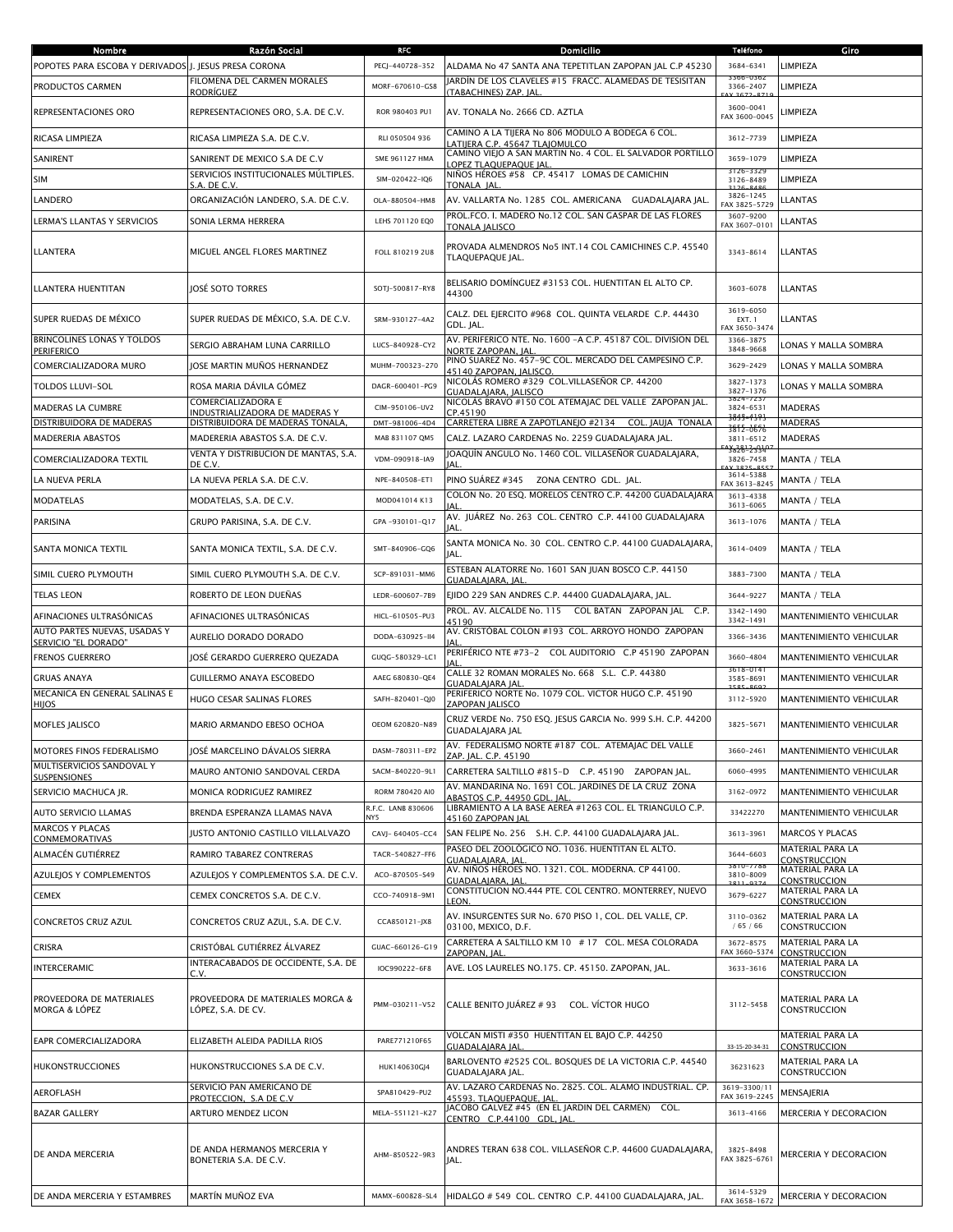| Nombre                                                 | Razón Social                                                      | <b>RFC</b>                | Domicilio                                                                                                                             | <b>Teléfono</b>                      | Giro                                    |
|--------------------------------------------------------|-------------------------------------------------------------------|---------------------------|---------------------------------------------------------------------------------------------------------------------------------------|--------------------------------------|-----------------------------------------|
| POPOTES PARA ESCOBA Y DERIVADOS J. JESUS PRESA CORONA  |                                                                   | PECJ-440728-352           | ALDAMA No 47 SANTA ANA TEPETITLAN ZAPOPAN JAL C.P 45230                                                                               | 3684-6341                            | LIMPIEZA                                |
| PRODUCTOS CARMEN                                       | FILOMENA DEL CARMEN MORALES                                       | MORF-670610-GS8           | JARDÍN DE LOS CLAVELES #15 FRACC. ALAMEDAS DE TESISITAN                                                                               | 3366-0362<br>3366-2407               | LIMPIEZA                                |
| REPRESENTACIONES ORO                                   | RODRÍGUEZ<br>REPRESENTACIONES ORO, S.A. DE C.V.                   | ROR 980403 PU1            | <b>TABACHINES) ZAP. IAL</b><br>AV. TONALA No. 2666 CD. AZTLA                                                                          | 3600-0041<br>FAX 3600-0045           | <b>IMPIEZA</b>                          |
| RICASA LIMPIEZA                                        | RICASA LIMPIEZA S.A. DE C.V.                                      | RLI 050504 936            | CAMINO A LA TIJERA No 806 MODULO A BODEGA 6 COL.<br>LATIIERA C.P. 45647 TLAIOMULCO                                                    | 3612-7739                            | LIMPIEZA                                |
| SANIRENT                                               | SANIRENT DE MEXICO S.A DE C.V                                     | SME 961127 HMA            | CAMINO VIEJO A SAN MARTIN No. 4 COL. EL SALVADOR PORTILLO                                                                             | 3659-1079                            | LIMPIEZA                                |
| <b>SIM</b>                                             | SERVICIOS INSTITUCIONALES MÚLTIPLES.                              | SIM-020422-IQ6            | OPEZ TLAQUEPAQUE JAL<br>NIÑOS HÉROES #58 CP. 45417 LOMAS DE CAMICHIN                                                                  | 3126-3325<br>3126-8489               | LIMPIEZA                                |
| LANDERO                                                | S.A. DE C.V<br>ORGANIZACIÓN LANDERO, S.A. DE C.V.                 | OLA-880504-HM8            | <b>TONALA IAL</b><br>AV. VALLARTA No. 1285 COL. AMERICANA GUADALAJARA JAL.                                                            | 3826-1245                            | <b>LANTAS</b>                           |
| LERMA'S LLANTAS Y SERVICIOS                            | SONIA LERMA HERRERA                                               | LEHS 701120 EQ0           | PROL.FCO. I. MADERO No.12 COL. SAN GASPAR DE LAS FLORES                                                                               | FAX 3825-5729<br>3607-9200           |                                         |
|                                                        |                                                                   |                           | TONALA JALISCO                                                                                                                        | FAX 3607-0101                        | <b>LANTAS</b>                           |
| LLANTERA                                               | MIGUEL ANGEL FLORES MARTINEZ                                      | FOLL 810219 2U8           | PROVADA ALMENDROS No5 INT.14 COL CAMICHINES C.P. 45540<br>TLAQUEPAQUE JAL.                                                            | 3343-8614                            | <b>LLANTAS</b>                          |
| LLANTERA HUENTITAN                                     | JOSÉ SOTO TORRES                                                  | SOTJ-500817-RY8           | BELISARIO DOMÍNGUEZ #3153 COL. HUENTITAN EL ALTO CP.<br>44300                                                                         | 3603-6078                            | LLANTAS                                 |
| SUPER RUEDAS DE MÉXICO                                 | SUPER RUEDAS DE MÉXICO, S.A. DE C.V.                              | SRM-930127-4A2            | CALZ. DEL EJERCITO #968 COL. QUINTA VELARDE C.P. 44430<br>GDL. JAL.                                                                   | 3619-6050<br>EXT. 1<br>FAX 3650-3474 | LLANTAS                                 |
| <b>BRINCOLINES LONAS Y TOLDOS</b><br><b>PERIFERICO</b> | SERGIO ABRAHAM LUNA CARRILLO                                      | LUCS-840928-CY2           | AV. PERIFERICO NTE. No. 1600 - A C.P. 45187 COL. DIVISION DEL<br><b>VORTE ZAPOPAN, JAL</b>                                            | 3366-3875<br>3848-9668               | LONAS Y MALLA SOMBRA                    |
| COMERCIALIZADORA MURO                                  | JOSE MARTIN MUÑOS HERNANDEZ                                       | MUHM-700323-270           | PINO SUAREZ No. 457-9C COL. MERCADO DEL CAMPESINO C.P.<br>45140 ZAPOPAN, JALISCO                                                      | 3629-2429                            | LONAS Y MALLA SOMBRA                    |
| <b>TOLDOS LLUVI-SOL</b>                                | ROSA MARIA DÁVILA GÓMEZ                                           | DAGR-600401-PG9           | NICOLÁS ROMERO #329 COL.VILLASEÑOR CP. 44200<br>GUADALAIARA, IALISCO                                                                  | 3827-1373<br>3827-1376               | LONAS Y MALLA SOMBRA                    |
| MADERAS LA CUMBRE                                      | COMERCIALIZADORA E                                                | CIM-950106-UV2            | NICOLÁS BRAVO #150 COL ATEMAJAC DEL VALLE ZAPOPAN JAL.                                                                                | 3824-723<br>3824-6531                | <b>MADERAS</b>                          |
| DISTRIBUIDORA DE MADERAS                               | INDUSTRIALIZADORA DE MADERAS Y<br>DISTRIBUIDORA DE MADERAS TONALA | DMT-981006-4D4            | CP.45190<br>CARRETERA LIBRE A ZAPOTLANEIO #2134 COL. IAUIA TONALA                                                                     | <del>3848-1191</del>                 | <b>MADERAS</b>                          |
| MADERERIA ABASTOS                                      | MADERERIA ABASTOS S.A. DE C.V.                                    | MAB 831107 QM5            | CALZ. LAZARO CARDENAS No. 2259 GUADALAJARA JAL.                                                                                       | 3812-0676<br>3811-6512               | <b>MADERAS</b>                          |
| COMERCIALIZADORA TEXTIL                                | VENTA Y DISTRIBUCION DE MANTAS, S.A.                              | VDM-090918-IA9            | JOAQUÍN ANGULO No. 1460 COL. VILLASEÑOR GUADALAJARA,                                                                                  | <del>8828123</del> 3<br>3826-7458    | MANTA / TELA                            |
| LA NUEVA PERLA                                         | DE C.V.<br>LA NUEVA PERLA S.A. DE C.V.                            | NPE-840508-ET1            | IAI.<br>PINO SUÁREZ #345 ZONA CENTRO GDL. JAL.                                                                                        | 3614-5388                            | MANTA / TELA                            |
|                                                        |                                                                   |                           | COLON No. 20 ESO, MORELOS CENTRO C.P. 44200 GUADALAIARA                                                                               | FAX 3613-8245<br>3613-4338           |                                         |
| <b>MODATELAS</b>                                       | MODATELAS, S.A. DE C.V.                                           | MOD041014 K13             |                                                                                                                                       | 3613-6065                            | MANTA / TELA                            |
| <b>PARISINA</b>                                        | GRUPO PARISINA, S.A. DE C.V.                                      | GPA-930101-Q17            | AV. JUÁREZ No. 263 COL. CENTRO C.P. 44100 GUADALAJARA<br> AL                                                                          | 3613-1076                            | MANTA / TELA                            |
| SANTA MONICA TEXTIL                                    | SANTA MONICA TEXTIL, S.A. DE C.V.                                 | SMT-840906-GQ6            | SANTA MONICA No. 30 COL. CENTRO C.P. 44100 GUADALAJARA,<br><b>IAL</b>                                                                 | 3614-0409                            | MANTA / TELA                            |
| SIMIL CUERO PLYMOUTH                                   | SIMIL CUERO PLYMOUTH S.A. DE C.V.                                 | SCP-891031-MM6            | ESTEBAN ALATORRE No. 1601 SAN JUAN BOSCO C.P. 44150<br>GUADALAJARA, JAL.                                                              | 3883-7300                            | MANTA / TELA                            |
| <b>TELAS LEON</b>                                      | ROBERTO DE LEON DUEÑAS                                            | LEDR-600607-7B9           | EJIDO 229 SAN ANDRES C.P. 44400 GUADALAJARA, JAL.                                                                                     | 3644-9227                            | MANTA / TELA                            |
| AFINACIONES ULTRASÓNICAS                               | AFINACIONES ULTRASÓNICAS                                          | HICL-610505-PU3           | PROL. AV. ALCALDE No. 115<br>COL BATAN ZAPOPAN JAL<br>C.P.<br>45190                                                                   | 3342-1490<br>3342-1491               | MANTENIMIENTO VEHICULAR                 |
| AUTO PARTES NUEVAS, USADAS Y                           | AURELIO DORADO DORADO                                             | DODA-630925-II4           | AV. CRISTÓBAL COLON #193 COL. ARROYO HONDO ZAPOPAN                                                                                    | 3366-3436                            | MANTENIMIENTO VEHICULAR                 |
| SERVICIO "EL DORADO"<br><b>FRENOS GUERRERO</b>         | JOSÉ GERARDO GUERRERO QUEZADA                                     | GUQG-580329-LC1           | PERIFÉRICO NTE #73-2 COL AUDITORIO C.P 45190 ZAPOPAN                                                                                  | 3660-4804                            | MANTENIMIENTO VEHICULAR                 |
| <b>GRUAS ANAYA</b>                                     | <b>GUILLERMO ANAYA ESCOBEDO</b>                                   | AAEG 680830-QE4           | CALLE 32 ROMAN MORALES No. 668 S.L. C.P. 44380                                                                                        | $b - b - 0$<br>3585-8691             | MANTENIMIENTO VEHICULAR                 |
| MECANICA EN GENERAL SALINAS E                          |                                                                   |                           | GUADALAJARA JAI<br>PERIFERICO NORTE No. 1079 COL. VICTOR HUGO C.P. 45190                                                              |                                      |                                         |
| HIJOS                                                  | HUGO CESAR SALINAS FLORES                                         | SAFH-820401-QJ0           | ZAPOPAN JALISCO                                                                                                                       | 3112-5920                            | MANTENIMIENTO VEHICULAR                 |
| <b>MOFLES JALISCO</b>                                  | MARIO ARMANDO EBESO OCHOA                                         | OEOM 620820-N89           | CRUZ VERDE No. 750 ESQ. JESUS GARCIA No. 999 S.H. C.P. 44200<br>GUADALAJARA JAL<br>AV. FEDERALISMO NORTE #187 COL. ATEMAJAC DEL VALLE | 3825-5671                            | MANTENIMIENTO VEHICULAR                 |
| MOTORES FINOS FEDERALISMO                              | JOSÉ MARCELINO DÁVALOS SIERRA                                     | DASM-780311-EP2           | ZAP. JAL. C.P. 45190                                                                                                                  | 3660-2461                            | MANTENIMIENTO VEHICULAR                 |
| MULTISERVICIOS SANDOVAL Y<br>SUSPENSIONES              | MAURO ANTONIO SANDOVAL CERDA                                      | SACM-840220-9L1           | CARRETERA SALTILLO #815-D C.P. 45190 ZAPOPAN JAL.                                                                                     | 6060-4995                            | <b>MANTENIMIENTO VEHICULAR</b>          |
| SERVICIO MACHUCA JR.                                   | MONICA RODRIGUEZ RAMIREZ                                          | RORM 780420 AI0           | AV. MANDARINA No. 1691 COL. JARDINES DE LA CRUZ ZONA<br>ABASTOS C.P. 44950 GDL. JAL                                                   | 3162-0972                            | <b>MANTENIMIENTO VEHICULAR</b>          |
| <b>AUTO SERVICIO LLAMAS</b>                            | BRENDA ESPERANZA LLAMAS NAVA                                      | R.F.C. LANB 830606<br>NY5 | LIBRAMIENTO A LA BASE AEREA #1263 COL. EL TRIANGULO C.P.<br>45160 ZAPOPAN JAL                                                         | 33422270                             | MANTENIMIENTO VEHICULAR                 |
| <b>MARCOS Y PLACAS</b><br><b>CONMEMORATIVAS</b>        | <b>IUSTO ANTONIO CASTILLO VILLALVAZO</b>                          | CAVJ-640405-CC4           | SAN FELIPE No. 256 S.H. C.P. 44100 GUADALAJARA JAL.                                                                                   | 3613-3961                            | <b>MARCOS Y PLACAS</b>                  |
| ALMACÉN GUTIÉRREZ                                      | RAMIRO TABAREZ CONTRERAS                                          | TACR-540827-FF6           | PASEO DEL ZOOLÓGICO NO. 1036. HUENTITAN EL ALTO.                                                                                      | 3644-6603                            | MATERIAL PARA LA                        |
| AZULEJOS Y COMPLEMENTOS                                | AZULEJOS Y COMPLEMENTOS S.A. DE C.V.                              | ACO-870505-S49            | <b>GUADALAJARA, JAL</b><br>AV. NIÑOS HÉROES NO. 1321. COL. MODERNA. CP 44100.                                                         | 3810-7788<br>3810-8009               | <b>CONSTRUCCION</b><br>MATERIAL PARA LA |
| <b>CEMEX</b>                                           | CEMEX CONCRETOS S.A. DE C.V.                                      | CCO-740918-9M1            | GUADALAJARA, JAL<br>CONSTITUCION NO.444 PTE. COL CENTRO. MONTERREY, NUEVO                                                             | 3679-6227                            | <b>CONSTRUCCION</b><br>MATERIAL PARA LA |
| CONCRETOS CRUZ AZUL                                    | CONCRETOS CRUZ AZUL, S.A. DE C.V.                                 | CCA850121-JX8             | LEON.<br>AV. INSURGENTES SUR No. 670 PISO 1, COL. DEL VALLE, CP.                                                                      | 3110-0362                            | <b>CONSTRUCCION</b><br>MATERIAL PARA LA |
|                                                        |                                                                   |                           | 03100, MEXICO, D.F.<br>CARRETERA A SALTILLO KM 10 # 17 COL. MESA COLORADA                                                             | /65/66<br>3672-8575                  | <b>CONSTRUCCION</b><br>MATERIAL PARA LA |
| CRISRA                                                 | CRISTÓBAL GUTIÉRREZ ÁLVAREZ                                       | GUAC-660126-G19           | ZAPOPAN, JAL.                                                                                                                         | FAX 3660-5374                        | <b>CONSTRUCCION</b>                     |
| <b>INTERCERAMIC</b>                                    | INTERACABADOS DE OCCIDENTE, S.A. DE<br>C.V.                       | IOC990222-6F8             | AVE. LOS LAURELES NO.175. CP. 45150. ZAPOPAN, JAL.                                                                                    | 3633-3616                            | MATERIAL PARA LA<br>CONSTRUCCION        |
| PROVEEDORA DE MATERIALES<br><b>MORGA &amp; LÓPEZ</b>   | PROVEEDORA DE MATERIALES MORGA &<br>LÓPEZ, S.A. DE CV.            | PMM-030211-V52            | CALLE BENITO JUÁREZ # 93 COL. VÍCTOR HUGO                                                                                             | 3112-5458                            | MATERIAL PARA LA<br><b>CONSTRUCCION</b> |
| EAPR COMERCIALIZADORA                                  | ELIZABETH ALEIDA PADILLA RIOS                                     | PARE771210F65             | VOLCAN MISTI #350 HUENTITAN EL BAJO C.P. 44250<br>GUADALAJARA JAL                                                                     | 33-15-20-34-31                       | MATERIAL PARA LA<br>CONSTRUCCION        |
| <b>HUKONSTRUCCIONES</b>                                | HUKONSTRUCCIONES S.A DE C.V.                                      | HUK140630GJ4              | BARLOVENTO #2525 COL. BOSQUES DE LA VICTORIA C.P. 44540<br>GUADALAJARA JAL.                                                           | 36231623                             | MATERIAL PARA LA<br><b>CONSTRUCCION</b> |
| <b>AEROFLASH</b>                                       | SERVICIO PAN AMERICANO DE                                         | SPA810429-PU2             | AV. LAZARO CARDENAS No. 2825. COL. ALAMO INDUSTRIAL. CP.                                                                              | 3619-3300/11                         | MENSAJERIA                              |
| <b>BAZAR GALLERY</b>                                   | PROTECCION, S.A DE C.V<br>ARTURO MENDEZ LICON                     | MELA-551121-K27           | 45593. TLAQUEPAQUE, JAL<br>JACOBO GALVEZ #45 (EN EL JARDIN DEL CARMEN) COL.                                                           | FAX 3619-2245<br>3613-4166           | MERCERIA Y DECORACION                   |
|                                                        |                                                                   |                           | CENTRO C.P.44100 GDL, JAL                                                                                                             |                                      |                                         |
| DE ANDA MERCERIA                                       | DE ANDA HERMANOS MERCERIA Y<br>BONETERIA S.A. DE C.V.             | AHM-850522-9R3            | ANDRES TERAN 638 COL. VILLASEÑOR C.P. 44600 GUADALAJARA,<br>JAL.                                                                      | 3825-8498<br>FAX 3825-6761           | MERCERIA Y DECORACION                   |
| DE ANDA MERCERIA Y ESTAMBRES                           | MARTÍN MUÑOZ EVA                                                  | MAMX-600828-SL4           | HIDALGO # 549 COL. CENTRO C.P. 44100 GUADALAJARA, JAL.                                                                                | 3614-5329<br>FAX 3658-1672           | MERCERIA Y DECORACION                   |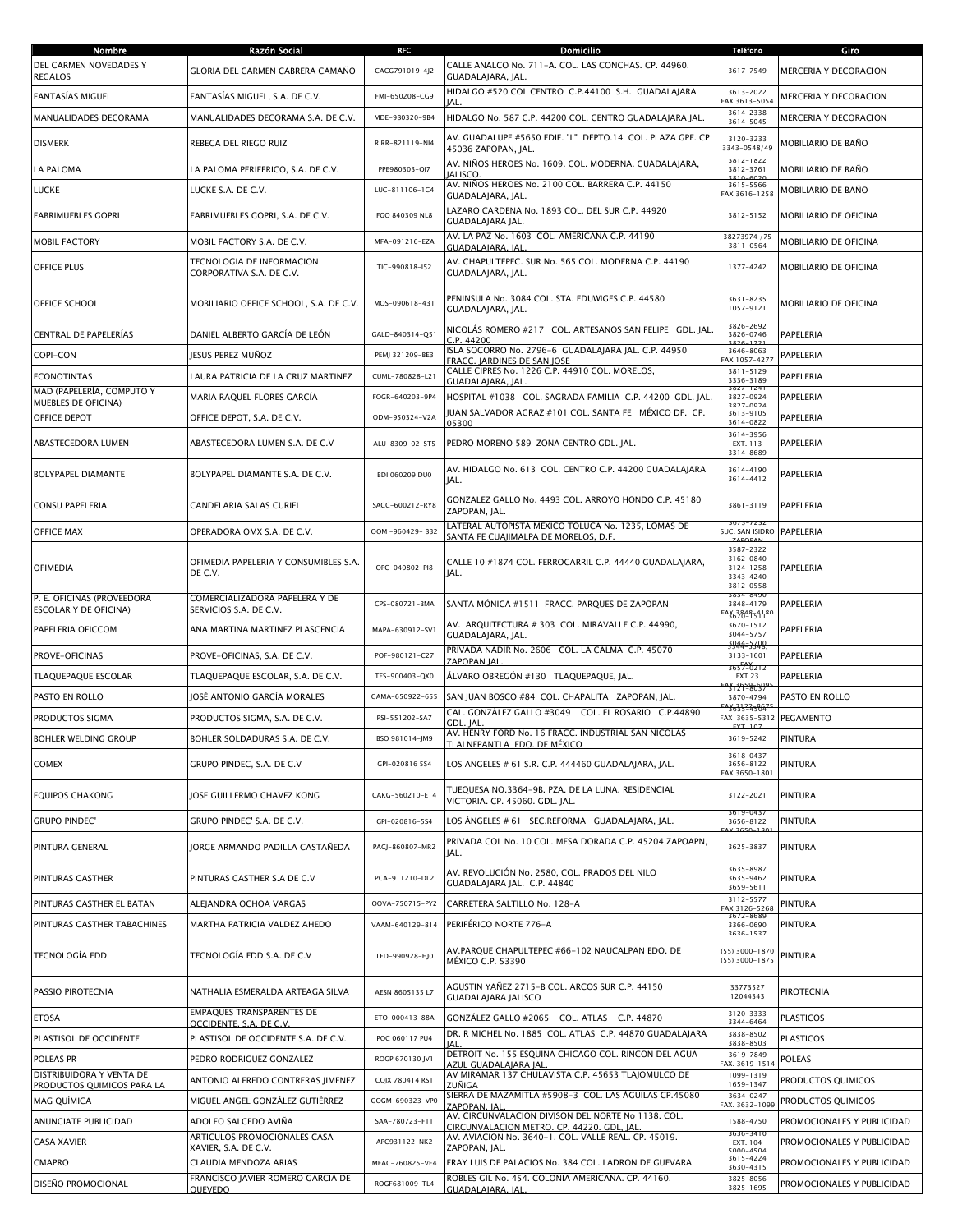| Nombre                                                  | Razón Social                                                    | <b>RFC</b>      | Domicilio                                                                                       | <b>Teléfono</b>                                               | Giro                       |
|---------------------------------------------------------|-----------------------------------------------------------------|-----------------|-------------------------------------------------------------------------------------------------|---------------------------------------------------------------|----------------------------|
| DEL CARMEN NOVEDADES Y<br><b>REGALOS</b>                | <b>GLORIA DEL CARMEN CABRERA CAMAÑO</b>                         | CACG791019-4J2  | CALLE ANALCO No. 711-A. COL. LAS CONCHAS. CP. 44960.<br>GUADALAJARA, JAL.                       | 3617-7549                                                     | MERCERIA Y DECORACION      |
| <b>FANTASÍAS MIGUEL</b>                                 | FANTASÍAS MIGUEL, S.A. DE C.V.                                  | FMI-650208-CG9  | HIDALGO #520 COL CENTRO C.P.44100 S.H. GUADALAJARA<br>IAI                                       | 3613-2022<br>FAX 3613-5054                                    | MERCERIA Y DECORACION      |
| MANUALIDADES DECORAMA                                   | MANUALIDADES DECORAMA S.A. DE C.V.                              | MDE-980320-9B4  | HIDALGO No. 587 C.P. 44200 COL. CENTRO GUADALAJARA JAL.                                         | 3614-2338<br>3614-5045                                        | MERCERIA Y DECORACION      |
| <b>DISMERK</b>                                          | REBECA DEL RIEGO RUIZ                                           | RIRR-821119-NI4 | AV. GUADALUPE #5650 EDIF. "L" DEPTO.14 COL. PLAZA GPE. CP<br>45036 ZAPOPAN, JAL.                | 3120-3233<br>3343-0548/49                                     | MOBILIARIO DE BAÑO         |
| LA PALOMA                                               | LA PALOMA PERIFERICO, S.A. DE C.V.                              | PPE980303-QI7   | AV. NIÑOS HEROES No. 1609. COL. MODERNA. GUADALAJARA,<br><b>IALISCO.</b>                        | 3812-1824<br>3812-3761                                        | MOBILIARIO DE BAÑO         |
| LUCKE                                                   | LUCKE S.A. DE C.V.                                              | LUC-811106-1C4  | AV. NIÑOS HEROES No. 2100 COL. BARRERA C.P. 44150<br>GUADALAJARA, JAL                           | 3615-5566<br>FAX 3616-1258                                    | MOBILIARIO DE BAÑO         |
| <b>FABRIMUEBLES GOPRI</b>                               | FABRIMUEBLES GOPRI, S.A. DE C.V.                                | FGO 840309 NL8  | LAZARO CARDENA No. 1893 COL. DEL SUR C.P. 44920<br>GUADALAJARA JAL.                             | 3812-5152                                                     | MOBILIARIO DE OFICINA      |
| <b>MOBIL FACTORY</b>                                    | MOBIL FACTORY S.A. DE C.V.                                      | MFA-091216-EZA  | AV. LA PAZ No. 1603 COL. AMERICANA C.P. 44190<br>GUADALAJARA, JAL                               | 38273974 / 75<br>3811-0564                                    | MOBILIARIO DE OFICINA      |
| <b>OFFICE PLUS</b>                                      | TECNOLOGIA DE INFORMACION<br>CORPORATIVA S.A. DE C.V.           | TIC-990818-I52  | AV. CHAPULTEPEC. SUR No. 565 COL. MODERNA C.P. 44190<br>GUADALAJARA, JAL.                       | 1377-4242                                                     | MOBILIARIO DE OFICINA      |
| OFFICE SCHOOL                                           | MOBILIARIO OFFICE SCHOOL, S.A. DE C.V.                          | MOS-090618-431  | PENINSULA No. 3084 COL. STA. EDUWIGES C.P. 44580<br>GUADALAJARA, JAL.                           | 3631-8235<br>1057-9121                                        | MOBILIARIO DE OFICINA      |
| CENTRAL DE PAPELERÍAS                                   | DANIEL ALBERTO GARCÍA DE LEÓN                                   | GALD-840314-Q51 | NICOLÁS ROMERO #217 - COL. ARTESANOS SAN FELIPE - GDL. JAL.<br>C.P. 44200                       | 826-2692<br>3826-0746                                         | PAPELERIA                  |
| COPI-CON                                                | JESUS PEREZ MUÑOZ                                               | PEMI 321209-BE3 | ISLA SOCORRO No. 2796-6 GUADALAJARA JAL. C.P. 44950<br>FRACC. JARDINES DE SAN JOSE              | 3646-8063<br>FAX 1057-4277                                    | PAPELERIA                  |
| <b>ECONOTINTAS</b>                                      | LAURA PATRICIA DE LA CRUZ MARTINEZ                              | CUML-780828-L21 | CALLE CIPRES No. 1226 C.P. 44910 COL. MORELOS,<br><b>GUADALAJARA, JAL</b>                       | 3811-5129<br>3336-3189                                        | PAPELERIA                  |
| MAD (PAPELERÍA, COMPUTO Y<br><b>MUEBLES DE OFICINA)</b> | MARIA RAQUEL FLORES GARCÍA                                      | FOGR-640203-9P4 | HOSPITAL #1038 COL. SAGRADA FAMILIA C.P. 44200 GDL. JAL                                         | $3827 - 24$<br>3827-0924<br>2027 002                          | PAPELERIA                  |
| OFFICE DEPOT                                            | OFFICE DEPOT, S.A. DE C.V.                                      | ODM-950324-V2A  | IUAN SALVADOR AGRAZ #101 COL. SANTA FE MÉXICO DF. CP.<br>05300                                  | 3613-9105<br>3614-0822                                        | PAPELERIA                  |
| ABASTECEDORA LUMEN                                      | ABASTECEDORA LUMEN S.A. DE C.V                                  | ALU-8309-02-ST5 | PEDRO MORENO 589 ZONA CENTRO GDL. JAL.                                                          | 3614-3956<br>EXT. 113<br>3314-8689                            | PAPELERIA                  |
| <b>BOLYPAPEL DIAMANTE</b>                               | BOLYPAPEL DIAMANTE S.A. DE C.V.                                 | BDI 060209 DU0  | AV. HIDALGO No. 613 COL. CENTRO C.P. 44200 GUADALAJARA<br>JAL.                                  | 3614-4190<br>3614-4412                                        | PAPELERIA                  |
| CONSU PAPELERIA                                         | CANDELARIA SALAS CURIEL                                         | SACC-600212-RY8 | GONZALEZ GALLO No. 4493 COL. ARROYO HONDO C.P. 45180<br>ZAPOPAN, JAL.                           | 3861-3119                                                     | PAPELERIA                  |
| <b>OFFICE MAX</b>                                       | OPERADORA OMX S.A. DE C.V.                                      | OOM-960429-832  | LATERAL AUTOPISTA MEXICO TOLUCA No. 1235, LOMAS DE<br>SANTA FE CUAJIMALPA DE MORELOS, D.F.      | 3673-7232<br>SUC. SAN ISIDRO                                  | PAPELERIA                  |
| <b>OFIMEDIA</b>                                         | OFIMEDIA PAPELERIA Y CONSUMIBLES S.A.<br>DE C.V.                | OPC-040802-PI8  | CALLE 10 #1874 COL. FERROCARRIL C.P. 44440 GUADALAJARA,<br>JAL.                                 | 3587-2322<br>3162-0840<br>3124-1258<br>3343-4240<br>3812-0558 | PAPELERIA                  |
| P. E. OFICINAS (PROVEEDORA<br>ESCOLAR Y DE OFICINA)     | COMERCIALIZADORA PAPELERA Y DE<br><u>SERVICIOS S.A. DE C.V.</u> | CPS-080721-BMA  | SANTA MÓNICA #1511 FRACC. PARQUES DE ZAPOPAN                                                    | 3834-8490<br>3848-4179                                        | PAPELERIA                  |
| PAPELERIA OFICCOM                                       | ANA MARTINA MARTINEZ PLASCENCIA                                 | MAPA-630912-SV1 | AV. ARQUITECTURA # 303 COL. MIRAVALLE C.P. 44990,<br>GUADALAJARA, JAL.                          | 3670-1511<br>3670-1512<br>3044-5757                           | PAPELERIA                  |
| <b>PROVE-OFICINAS</b>                                   | PROVE-OFICINAS, S.A. DE C.V.                                    | POF-980121-C27  | PRIVADA NADIR No. 2606 COL. LA CALMA C.P. 45070<br>ZAPOPAN JAL                                  | 3944-5348<br>3133-1601                                        | PAPELERIA                  |
| <b>TLAQUEPAQUE ESCOLAR</b>                              | TLAQUEPAQUE ESCOLAR, S.A. DE C.V.                               | TES-900403-QX0  | ÁLVARO OBREGÓN #130   TLAQUEPAQUE, JAL.                                                         | 365546212<br><b>EXT 23</b>                                    | PAPELERIA                  |
| PASTO EN ROLLO                                          | JOSÉ ANTONIO GARCÍA MORALES                                     | GAMA-650922-655 | SAN JUAN BOSCO #84 COL. CHAPALITA ZAPOPAN, JAL.                                                 | 3121-8037<br>3870-4794                                        | PASTO EN ROLLO             |
| PRODUCTOS SIGMA                                         | PRODUCTOS SIGMA, S.A. DE C.V.                                   | PSI-551202-SA7  | CAL. GONZÁLEZ GALLO #3049   COL. EL ROSARIO   C.P.44890<br>GDL. IAL                             | 3635-4504<br>FAX 3635-5312                                    | <b>PEGAMENTO</b>           |
| <b>BOHLER WELDING GROUP</b>                             | BOHLER SOLDADURAS S.A. DE C.V.                                  | BSO 981014-JM9  | AV. HENRY FORD No. 16 FRACC. INDUSTRIAL SAN NICOLAS<br>TI AI NEDANTI A EDO. DE MÉYICO           | 3619-5242                                                     | <b>PINTURA</b>             |
| <b>COMEX</b>                                            | GRUPO PINDEC, S.A. DE C.V                                       | GPI-020816 5S4  | LOS ANGELES # 61 S.R. C.P. 444460 GUADALAJARA, JAL.                                             | 3618-0437<br>3656-8122<br>FAX 3650-1801                       | PINTURA                    |
| <b>EQUIPOS CHAKONG</b>                                  | JOSE GUILLERMO CHAVEZ KONG                                      | CAKG-560210-E14 | TUEQUESA NO.3364-9B. PZA. DE LA LUNA. RESIDENCIAL<br>VICTORIA. CP. 45060. GDL. JAL.             | 3122-2021                                                     | <b>PINTURA</b>             |
| <b>GRUPO PINDEC'</b>                                    | GRUPO PINDEC' S.A. DE C.V.                                      | GPI-020816-5S4  | LOS ANGELES # 61 SEC.REFORMA GUADALAJARA, JAL.                                                  | 3619-0437<br>3656-8122                                        | PINTURA                    |
| PINTURA GENERAL                                         | JORGE ARMANDO PADILLA CASTAÑEDA                                 | PACJ-860807-MR2 | PRIVADA COL No. 10 COL. MESA DORADA C.P. 45204 ZAPOAPN,<br>IAL.                                 | 3625-3837                                                     | PINTURA                    |
| <b>PINTURAS CASTHER</b>                                 | PINTURAS CASTHER S.A DE C.V                                     | PCA-911210-DL2  | AV. REVOLUCIÓN No. 2580, COL. PRADOS DEL NILO<br>GUADALAJARA JAL. C.P. 44840                    | 3635-8987<br>3635-9462<br>3659-5611                           | PINTURA                    |
| PINTURAS CASTHER EL BATAN                               | ALEJANDRA OCHOA VARGAS                                          | OOVA-750715-PY2 | CARRETERA SALTILLO No. 128-A                                                                    | 3112-5577<br>FAX 3126-5268                                    | PINTURA                    |
| PINTURAS CASTHER TABACHINES                             | MARTHA PATRICIA VALDEZ AHEDO                                    | VAAM-640129-814 | PERIFÉRICO NORTE 776-A                                                                          | 3672-8685<br>3366-0690                                        | PINTURA                    |
| TECNOLOGÍA EDD                                          | TECNOLOGÍA EDD S.A. DE C.V                                      | TED-990928-HJ0  | AV.PARQUE CHAPULTEPEC #66-102 NAUCALPAN EDO. DE<br>MÉXICO C.P. 53390                            | (55) 3000-1870<br>(55) 3000-1875                              | PINTURA                    |
| PASSIO PIROTECNIA                                       | NATHALIA ESMERALDA ARTEAGA SILVA                                | AESN 8605135 L7 | AGUSTIN YAÑEZ 2715-B COL. ARCOS SUR C.P. 44150<br>GUADALAJARA JALISCO                           | 33773527<br>12044343                                          | PIROTECNIA                 |
| <b>ETOSA</b>                                            | <b>EMPAQUES TRANSPARENTES DE</b><br>OCCIDENTE, S.A. DE C.V.     | ETO-000413-88A  | GONZÁLEZ GALLO #2065 COL. ATLAS C.P. 44870                                                      | 3120-3333<br>3344-6464                                        | <b>PLASTICOS</b>           |
| PLASTISOL DE OCCIDENTE                                  | PLASTISOL DE OCCIDENTE S.A. DE C.V.                             | POC 060117 PU4  | DR. R MICHEL No. 1885 COL. ATLAS C.P. 44870 GUADALAJARA                                         | 3838-8502<br>3838-8503                                        | <b>PLASTICOS</b>           |
| POLEAS PR                                               | PEDRO RODRIGUEZ GONZALEZ                                        | ROGP 670130 JV1 | DETROIT No. 155 ESQUINA CHICAGO COL. RINCON DEL AGUA<br>AZUL GUADALAIARA IAI                    | 3619-7849<br>FAX. 3619-1514                                   | <b>POLEAS</b>              |
| DISTRIBUIDORA Y VENTA DE<br>PRODUCTOS QUIMICOS PARA LA  | ANTONIO ALFREDO CONTRERAS JIMENEZ                               | COJX 780414 RS1 | AV MIRAMAR 137 CHULAVISTA C.P. 45653 TLAJOMULCO DE<br>ZUÑIGA                                    | 1099-1319<br>1659-1347                                        | PRODUCTOS QUIMICOS         |
| <b>MAG QUIMICA</b>                                      | MIGUEL ANGEL GONZÁLEZ GUTIÉRREZ                                 | GOGM-690323-VP0 | SIERRA DE MAZAMITLA #5908-3 COL. LAS ÁGUILAS CP.45080<br>ZAPOPAN, JAL                           | 3634-0247<br>FAX. 3632-1099                                   | PRODUCTOS QUIMICOS         |
| ANUNCIATE PUBLICIDAD                                    | ADOLFO SALCEDO AVIÑA                                            | SAA-780723-F11  | AV. CIRCUNVALACION DIVISON DEL NORTE No 1138. COL.<br>CIRCUNVALACION METRO. CP. 44220. GDL, JAL | 1588-4750                                                     | PROMOCIONALES Y PUBLICIDAD |
| <b>CASA XAVIER</b>                                      | ARTICULOS PROMOCIONALES CASA<br><u>XAVIER, S.A. DE C.V.</u>     | APC931122-NK2   | AV. AVIACION No. 3640-1. COL. VALLE REAL. CP. 45019.<br>ZAPOPAN, JAL                            | 636-341<br>EXT. 104                                           | PROMOCIONALES Y PUBLICIDAD |
| <b>CMAPRO</b>                                           | CLAUDIA MENDOZA ARIAS                                           | MEAC-760825-VE4 | FRAY LUIS DE PALACIOS No. 384 COL. LADRON DE GUEVARA                                            | 3615-4224<br>3630-4315                                        | PROMOCIONALES Y PUBLICIDAD |
| DISEÑO PROMOCIONAL                                      | FRANCISCO JAVIER ROMERO GARCIA DE<br>QUEVEDO                    | ROGF681009-TL4  | ROBLES GIL No. 454. COLONIA AMERICANA. CP. 44160.<br>GUADALAJARA, JAL                           | 3825-8056<br>3825-1695                                        | PROMOCIONALES Y PUBLICIDAD |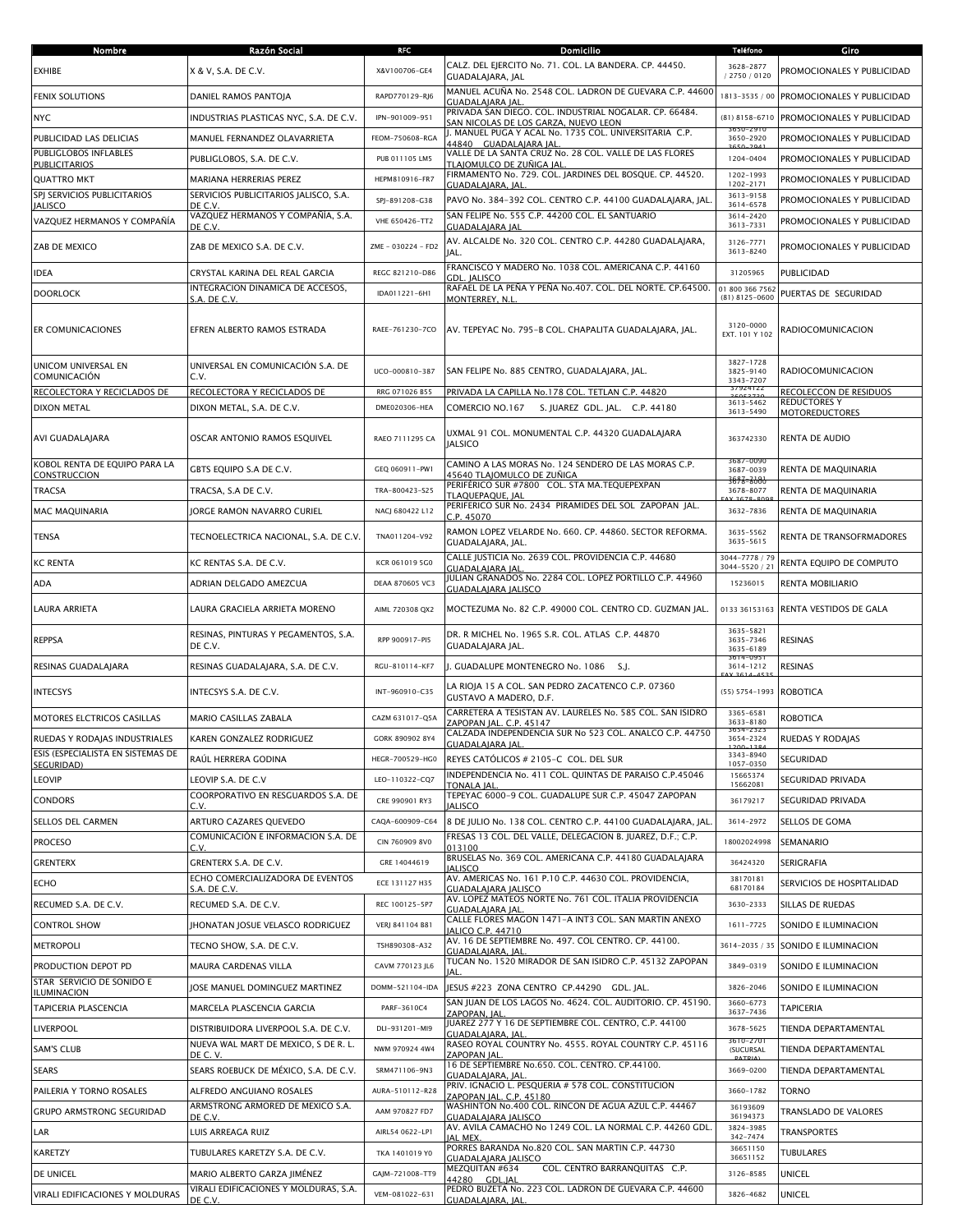| Nombre                                          | Razón Social                                                                 | RFC                | Domicilio                                                                                             | <b>Teléfono</b>                                  | Giro                                          |
|-------------------------------------------------|------------------------------------------------------------------------------|--------------------|-------------------------------------------------------------------------------------------------------|--------------------------------------------------|-----------------------------------------------|
| EXHIBE                                          | X & V, S.A. DE C.V.                                                          | X&V100706-GE4      | CALZ. DEL EJERCITO No. 71. COL. LA BANDERA. CP. 44450.<br>GUADALAJARA, JAL                            | 3628-2877<br>/ 2750 / 0120                       | PROMOCIONALES Y PUBLICIDAD                    |
| <b>FENIX SOLUTIONS</b>                          | DANIEL RAMOS PANTOJA                                                         | RAPD770129-RJ6     | MANUEL ACUÑA No. 2548 COL. LADRON DE GUEVARA C.P. 44600<br>GUADALAJARA JAL                            | 1813-3535 / 00                                   | PROMOCIONALES Y PUBLICIDAD                    |
| <b>NYC</b>                                      | INDUSTRIAS PLASTICAS NYC, S.A. DE C.V.                                       | IPN-901009-951     | PRIVADA SAN DIEGO. COL. INDUSTRIAL NOGALAR. CP. 66484.                                                | $(81) 8158 - 6710$                               | PROMOCIONALES Y PUBLICIDAD                    |
| PUBLICIDAD LAS DELICIAS                         | MANUEL FERNANDEZ OLAVARRIETA                                                 | FEOM-750608-RGA    | <u>SAN NICOLAS DE LOS GARZA, NUEVO LEON</u><br>J. MANUEL PUGA Y ACAL No. 1735 COL. UNIVERSITARIA C.P. | 3650-2920                                        | PROMOCIONALES Y PUBLICIDAD                    |
| PUBLIGLOBOS INFLABLES                           | PUBLIGLOBOS, S.A. DE C.V.                                                    | PUB 011105 LM5     | 44840 GUADALAIARA IAL<br>VALLE DE LA SANTA CRUZ No. 28 COL. VALLE DE LAS FLORES                       | 1204-0404                                        | PROMOCIONALES Y PUBLICIDAD                    |
| <b>PUBLICITARIOS</b><br><b>QUATTRO MKT</b>      | MARIANA HERRERIAS PEREZ                                                      | HEPM810916-FR7     | <u>TLAJOMULCO DE ZUÑIGA JAL</u><br>FIRMAMENTO No. 729. COL. JARDINES DEL BOSQUE. CP. 44520.           | 1202-1993                                        | PROMOCIONALES Y PUBLICIDAD                    |
| SPJ SERVICIOS PUBLICITARIOS                     | SERVICIOS PUBLICITARIOS JALISCO, S.A.                                        | SPJ-891208-G38     | <b>GUADALAIARA, IAL</b><br>PAVO No. 384-392 COL. CENTRO C.P. 44100 GUADALAJARA, JAL                   | 1202-2171<br>3613-9158                           | PROMOCIONALES Y PUBLICIDAD                    |
| <b>JALISCO</b><br>VAZQUEZ HERMANOS Y COMPAÑÍA   | DE C.V.<br>VAZQUEZ HERMANOS Y COMPAÑÍA, S.A.                                 | VHE 650426-TT2     | SAN FELIPE No. 555 C.P. 44200 COL. EL SANTUARIO                                                       | 3614-6578<br>3614-2420                           | PROMOCIONALES Y PUBLICIDAD                    |
|                                                 | DE C.V.                                                                      |                    | GUADALAJARA JAL<br>AV. ALCALDE No. 320 COL. CENTRO C.P. 44280 GUADALAIARA.                            | 3613-7331                                        |                                               |
| ZAB DE MEXICO                                   | ZAB DE MEXICO S.A. DE C.V.                                                   | ZME - 030224 - FD2 | JAL.<br>FRANCISCO Y MADERO No. 1038 COL. AMERICANA C.P. 44160                                         | 3126-7771<br>3613-8240                           | PROMOCIONALES Y PUBLICIDAD                    |
| <b>IDEA</b>                                     | CRYSTAL KARINA DEL REAL GARCIA                                               | REGC 821210-D86    | GDL. JALISCO                                                                                          | 31205965                                         | PUBLICIDAD                                    |
| <b>DOORLOCK</b>                                 | INTEGRACION DINAMICA DE ACCESOS,<br>S.A. DE C.V.                             | IDA011221-6H1      | RAFAEL DE LA PEÑA Y PEÑA No.407. COL. DEL NORTE. CP.64500.<br>MONTERREY, N.L                          | 01 800 366 7562<br>$(81)$ 8125-0600              | PUERTAS DE SEGURIDAD                          |
| ER COMUNICACIONES                               | EFREN ALBERTO RAMOS ESTRADA                                                  | RAEE-761230-7CO    | AV. TEPEYAC No. 795-B COL. CHAPALITA GUADALAJARA, JAL.                                                | 3120-0000<br>EXT. 101 Y 102                      | RADIOCOMUNICACION                             |
| UNICOM UNIVERSAL EN<br>COMUNICACIÓN             | UNIVERSAL EN COMUNICACIÓN S.A. DE<br>C.V.                                    | UCO-000810-387     | SAN FELIPE No. 885 CENTRO, GUADALAJARA, JAL.                                                          | 3827-1728<br>3825-9140<br>3343-7207              | RADIOCOMUNICACION                             |
| RECOLECTORA Y RECICLADOS DE                     | RECOLECTORA Y RECICLADOS DE                                                  | RRG 071026 B55     | PRIVADA LA CAPILLA No.178 COL. TETLAN C.P. 44820                                                      | 37924122<br>3613-5462                            | RECOLECCON DE RESIDUOS<br><b>REDUCTORES Y</b> |
| <b>DIXON METAL</b>                              | DIXON METAL, S.A. DE C.V.                                                    | DME020306-HEA      | S. JUAREZ GDL. JAL. C.P. 44180<br>COMERCIO NO.167                                                     | 3613-5490                                        | <b>MOTOREDUCTORES</b>                         |
| AVI GUADALAJARA                                 | OSCAR ANTONIO RAMOS ESQUIVEL                                                 | RAEO 7111295 CA    | UXMAL 91 COL. MONUMENTAL C.P. 44320 GUADALAJARA<br><b>JALSICO</b>                                     | 363742330                                        | RENTA DE AUDIO                                |
| KOBOL RENTA DE EOUIPO PARA LA<br>CONSTRUCCION   | GBTS EQUIPO S.A DE C.V.                                                      | GEQ 060911-PW1     | CAMINO A LAS MORAS No. 124 SENDERO DE LAS MORAS C.P.<br>45640 TLAJOMULCO DE ZUÑIGA                    | 3087-0090<br>3687-0039                           | RENTA DE MAOUINARIA                           |
| <b>TRACSA</b>                                   | TRACSA, S.A DE C.V.                                                          | TRA-800423-S25     | PERIFÉRICO SUR #7800 COL. STA MA.TEQUEPEXPAN<br>TLAQUEPAQUE, JAL                                      | 3693-3606<br>3678-8077                           | RENTA DE MAQUINARIA                           |
| <b>MAC MAQUINARIA</b>                           | JORGE RAMON NAVARRO CURIEL                                                   | NACJ 680422 L12    | PERIFERICO SUR No. 2434 PIRAMIDES DEL SOL ZAPOPAN JAL.<br>C.P. 45070                                  | 3632-7836                                        | RENTA DE MAQUINARIA                           |
| <b>TENSA</b>                                    | TECNOELECTRICA NACIONAL, S.A. DE C.V.                                        | TNA011204-V92      | RAMON LOPEZ VELARDE No. 660. CP. 44860. SECTOR REFORMA.<br>GUADALAJARA, JAL.                          | 3635-5562<br>3635-5615                           | RENTA DE TRANSOFRMADORES                      |
| <b>KC RENTA</b>                                 | KC RENTAS S.A. DE C.V.                                                       | KCR 061019 5G0     | CALLE JUSTICIA No. 2639 COL. PROVIDENCIA C.P. 44680<br><b>GUADALAIARA IAL</b>                         | 3044-7778 / 79<br>3044-5520 / 21                 | RENTA EQUIPO DE COMPUTO                       |
| ADA                                             | ADRIAN DELGADO AMEZCUA                                                       | DEAA 870605 VC3    | JULIAN GRANADOS No. 2284 COL. LOPEZ PORTILLO C.P. 44960                                               | 15236015                                         | RENTA MOBILIARIO                              |
|                                                 |                                                                              |                    | GUADALAJARA JALISCO                                                                                   |                                                  |                                               |
| LAURA ARRIETA                                   | LAURA GRACIELA ARRIETA MORENO                                                | AIML 720308 QX2    | MOCTEZUMA No. 82 C.P. 49000 COL. CENTRO CD. GUZMAN JAL.                                               | 0133 36153163                                    | RENTA VESTIDOS DE GALA                        |
| <b>REPPSA</b>                                   | RESINAS, PINTURAS Y PEGAMENTOS, S.A.<br>DE C.V.                              | RPP 900917-PI5     | DR. R MICHEL No. 1965 S.R. COL. ATLAS C.P. 44870<br>GUADALAJARA JAL.                                  | 3635-5821<br>3635-7346<br>3635-6189<br>5614-0951 | <b>RESINAS</b>                                |
| RESINAS GUADALAIARA                             | RESINAS GUADALAJARA, S.A. DE C.V.                                            | RGU-810114-KF7     | J. GUADALUPE MONTENEGRO No. 1086 S.J.                                                                 | 3614-1212                                        | <b>RESINAS</b>                                |
| <b>INTECSYS</b>                                 | INTECSYS S.A. DE C.V.                                                        | INT-960910-C35     | LA RIOJA 15 A COL. SAN PEDRO ZACATENCO C.P. 07360<br>GUSTAVO A MADERO, D.F.                           | $(55) 5754 - 1993$                               | <b>ROBOTICA</b>                               |
| MOTORES ELCTRICOS CASILLAS                      | MARIO CASILLAS ZABALA                                                        | CAZM 631017-Q5A    | CARRETERA A TESISTAN AV. LAURELES No. 585 COL. SAN ISIDRO<br>ZAPOPAN JAL. C.P. 45147                  | 3365-6581<br>3633-8180                           | <b>ROBOTICA</b>                               |
| RUEDAS Y RODAJAS INDUSTRIALES                   | KAREN GONZALEZ RODRIGUEZ                                                     | GORK 890902 8Y4    | CALZADA INDEPENDENCIA SUR No 523 COL. ANALCO C.P. 44750<br>GUADALAJARA JAL.                           | 3654-2323<br>3654-2324                           | RUEDAS Y RODAJAS                              |
| ESIS (ESPECIALISTA EN SISTEMAS DE<br>SEGURIDAD) | RAÚL HERRERA GODINA                                                          | HEGR-700529-HG0    | REYES CATÓLICOS # 2105-C COL. DEL SUR                                                                 | 3343-8940<br>1057-0350                           | SEGURIDAD                                     |
| <b>LEOVIP</b>                                   | LEOVIP S.A. DE C.V                                                           | LEO-110322-CQ7     | INDEPENDENCIA No. 411 COL. QUINTAS DE PARAISO C.P.45046<br><b>TONALA IAL</b>                          | 15665374<br>15662081                             | SEGURIDAD PRIVADA                             |
| <b>CONDORS</b>                                  | COORPORATIVO EN RESGUARDOS S.A. DE<br>C.V.                                   | CRE 990901 RY3     | TEPEYAC 6000-9 COL. GUADALUPE SUR C.P. 45047 ZAPOPAN<br><b>IALISCO</b>                                | 36179217                                         | SEGURIDAD PRIVADA                             |
| SELLOS DEL CARMEN                               | ARTURO CAZARES QUEVEDO                                                       | CAQA-600909-C64    | 8 DE JULIO No. 138 COL. CENTRO C.P. 44100 GUADALAJARA, JAL                                            | 3614-2972                                        | SELLOS DE GOMA                                |
| <b>PROCESO</b>                                  | COMUNICACIÓN E INFORMACION S.A. DE                                           | CIN 760909 8V0     | FRESAS 13 COL. DEL VALLE, DELEGACION B. JUAREZ, D.F.; C.P.                                            | 18002024998                                      | SEMANARIO                                     |
| GRENTERX                                        | C.V<br>GRENTERX S.A. DE C.V.                                                 | GRE 14044619       | 013100<br>BRUSELAS No. 369 COL. AMERICANA C.P. 44180 GUADALAJARA                                      | 36424320                                         | SERIGRAFIA                                    |
| <b>ECHO</b>                                     | ECHO COMERCIALIZADORA DE EVENTOS                                             | ECE 131127 H35     | <b>IALISCO</b><br>AV. AMERICAS No. 161 P.10 C.P. 44630 COL. PROVIDENCIA.                              | 38170181                                         | SERVICIOS DE HOSPITALIDAD                     |
| RECUMED S.A. DE C.V.                            | S.A. DE C.V.<br>RECUMED S.A. DE C.V.                                         | REC 100125-5P7     | GUADALAJARA JALISCO<br>AV. LOPEZ MATEOS NORTE No. 761 COL. ITALIA PROVIDENCIA                         | 68170184<br>3630-2333                            | SILLAS DE RUEDAS                              |
| <b>CONTROL SHOW</b>                             | JHONATAN JOSUE VELASCO RODRIGUEZ                                             | VERJ 841104 B81    | GUADALAJARA JAL<br>CALLE FLORES MAGON 1471-A INT3 COL. SAN MARTIN ANEXO                               | $1611 - 7725$                                    | SONIDO E ILUMINACION                          |
| <b>METROPOLI</b>                                | TECNO SHOW, S.A. DE C.V.                                                     | TSH890308-A32      | <b>IALICO C.P. 44710</b><br>AV. 16 DE SEPTIEMBRE No. 497. COL CENTRO. CP. 44100.                      | 3614-2035 / 35                                   | SONIDO E ILUMINACION                          |
| PRODUCTION DEPOT PD                             | MAURA CARDENAS VILLA                                                         | CAVM 770123 JL6    | GUADALAJARA, JAL<br>TUCAN No. 1520 MIRADOR DE SAN ISIDRO C.P. 45132 ZAPOPAN                           | 3849-0319                                        | SONIDO E ILUMINACION                          |
| STAR SERVICIO DE SONIDO E                       | JOSE MANUEL DOMINGUEZ MARTINEZ                                               | DOMM-521104-IDA    | IAL.<br>JESUS #223 ZONA CENTRO CP.44290 GDL. JAL.                                                     | 3826-2046                                        | SONIDO E ILUMINACION                          |
| ILUMINACION                                     |                                                                              | PARF-3610C4        | SAN JUAN DE LOS LAGOS No. 4624. COL. AUDITORIO. CP. 45190.                                            | 3660-6773                                        |                                               |
| TAPICERIA PLASCENCIA                            | MARCELA PLASCENCIA GARCIA                                                    | DLI-931201-MI9     | ZAPOPAN, JAL<br>JUAREZ 277 Y 16 DE SEPTIEMBRE COL. CENTRO, C.P. 44100                                 | 3637-7436<br>3678-5625                           | <b>TAPICERIA</b><br>TIENDA DEPARTAMENTAL      |
| LIVERPOOL                                       | DISTRIBUIDORA LIVERPOOL S.A. DE C.V.<br>NUEVA WAL MART DE MEXICO, S DE R. L. |                    | <b>GUADALAJARA, JAL</b><br>RASEO ROYAL COUNTRY No. 4555. ROYAL COUNTRY C.P. 45116                     | 3610-270                                         |                                               |
| <b>SAM'S CLUB</b>                               | DE C.V.                                                                      | NWM 970924 4W4     | ZAPOPAN JAL<br>16 DE SEPTIEMBRE No.650. COL. CENTRO. CP.44100.                                        | (SUCURSAL                                        | TIENDA DEPARTAMENTAL                          |
| SEARS                                           | SEARS ROEBUCK DE MÉXICO, S.A. DE C.V.                                        | SRM471106-9N3      | GUADALAJARA, JAL<br>PRIV. IGNACIO L. PESQUERIA # 578 COL. CONSTITUCION                                | 3669-0200                                        | TIENDA DEPARTAMENTAL                          |
| PAILERIA Y TORNO ROSALES                        | ALFREDO ANGUIANO ROSALES<br>ARMSTRONG ARMORED DE MEXICO S.A.                 | AURA-510112-R28    | ZAPOPAN JAL. C.P. 45180<br>WASHINTON No.400 COL. RINCON DE AGUA AZUL C.P. 44467                       | 3660-1782<br>36193609                            | <b>TORNO</b>                                  |
| <b>GRUPO ARMSTRONG SEGURIDAD</b>                | DE C.V.                                                                      | AAM 970827 FD7     | GUADALAJARA JALISCO<br>AV. AVILA CAMACHO No 1249 COL. LA NORMAL C.P. 44260 GDL                        | 36194373                                         | TRANSLADO DE VALORES                          |
| LAR                                             | LUIS ARREAGA RUIZ                                                            | AIRL54 0622-LP1    | <b>IAL MEX.</b>                                                                                       | 3824-3985<br>342-7474                            | TRANSPORTES                                   |
| KARETZY                                         | TUBULARES KARETZY S.A. DE C.V.                                               | TKA 1401019 Y0     | PORRES BARANDA No.820 COL. SAN MARTIN C.P. 44730<br>GUADALAJARA JALISCO                               | 36651150<br>36651152                             | <b>TUBULARES</b>                              |
| DE UNICEL                                       | MARIO ALBERTO GARZA JIMÉNEZ                                                  | GAJM-721008-TT9    | MEZQUITAN #634<br>COL. CENTRO BARRANQUITAS C.P.<br>44280 GDL.IAL                                      | 3126-8585                                        | <b>UNICEL</b>                                 |
| VIRALI EDIFICACIONES Y MOLDURAS                 | VIRALI EDIFICACIONES Y MOLDURAS, S.A.<br>DE C.V.                             | VEM-081022-631     | PEDRO BUZETA No. 223 COL. LADRON DE GUEVARA C.P. 44600<br>GUADALAJARA, JAL                            | 3826-4682                                        | <b>UNICEL</b>                                 |